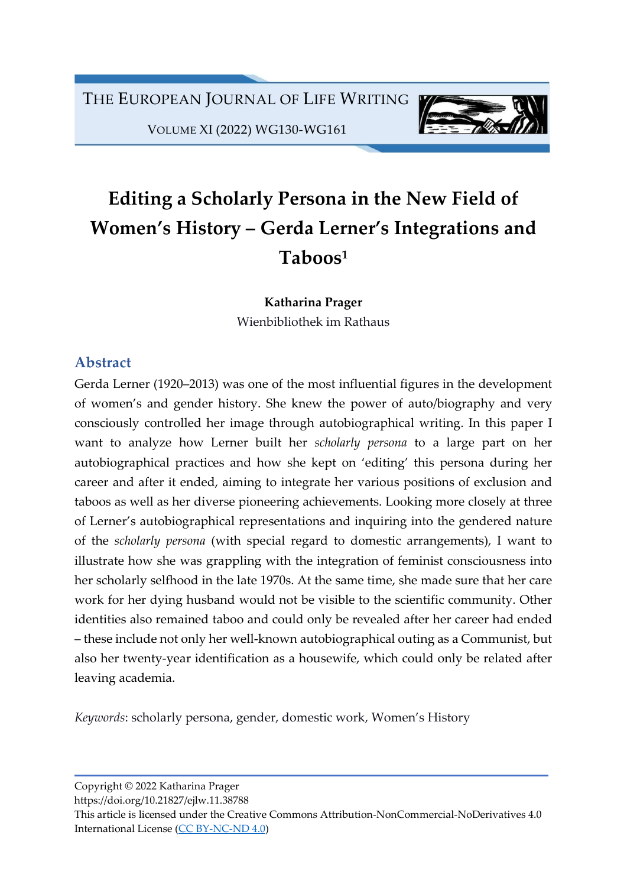

VOLUME XI (2022) WG130-WG161

# Editing a Scholarly Persona in the New Field of Women's History – Gerda Lerner's Integrations and Taboos<sup>1</sup>

Katharina Prager Wienbibliothek im Rathaus

### Abstract

Gerda Lerner (1920–2013) was one of the most influential figures in the development of women's and gender history. She knew the power of auto/biography and very consciously controlled her image through autobiographical writing. In this paper I want to analyze how Lerner built her scholarly persona to a large part on her autobiographical practices and how she kept on 'editing' this persona during her career and after it ended, aiming to integrate her various positions of exclusion and taboos as well as her diverse pioneering achievements. Looking more closely at three of Lerner's autobiographical representations and inquiring into the gendered nature of the scholarly persona (with special regard to domestic arrangements), I want to illustrate how she was grappling with the integration of feminist consciousness into her scholarly selfhood in the late 1970s. At the same time, she made sure that her care work for her dying husband would not be visible to the scientific community. Other identities also remained taboo and could only be revealed after her career had ended – these include not only her well-known autobiographical outing as a Communist, but also her twenty-year identification as a housewife, which could only be related after leaving academia.

Keywords: scholarly persona, gender, domestic work, Women's History

Copyright © 2022 Katharina Prager

https://doi.org/10.21827/ejlw.11.38788

This article is licensed under the Creative Commons Attribution-NonCommercial-NoDerivatives 4.0 International License (CC BY-NC-ND 4.0)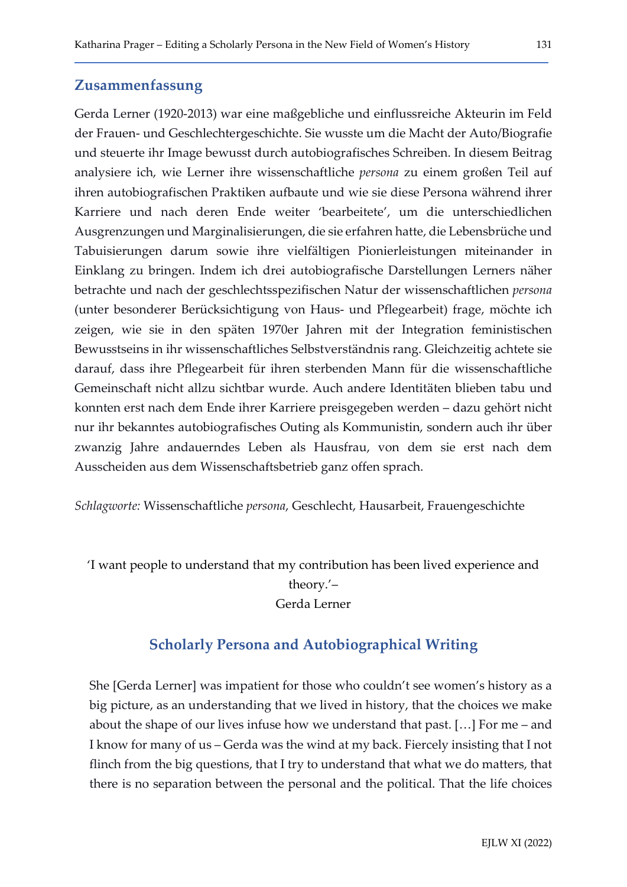#### Zusammenfassung

Gerda Lerner (1920-2013) war eine maßgebliche und einflussreiche Akteurin im Feld der Frauen- und Geschlechtergeschichte. Sie wusste um die Macht der Auto/Biografie und steuerte ihr Image bewusst durch autobiografisches Schreiben. In diesem Beitrag analysiere ich, wie Lerner ihre wissenschaftliche persona zu einem großen Teil auf ihren autobiografischen Praktiken aufbaute und wie sie diese Persona während ihrer Karriere und nach deren Ende weiter 'bearbeitete', um die unterschiedlichen Ausgrenzungen und Marginalisierungen, die sie erfahren hatte, die Lebensbrüche und Tabuisierungen darum sowie ihre vielfältigen Pionierleistungen miteinander in Einklang zu bringen. Indem ich drei autobiografische Darstellungen Lerners näher betrachte und nach der geschlechtsspezifischen Natur der wissenschaftlichen persona (unter besonderer Berücksichtigung von Haus- und Pflegearbeit) frage, möchte ich zeigen, wie sie in den späten 1970er Jahren mit der Integration feministischen Bewusstseins in ihr wissenschaftliches Selbstverständnis rang. Gleichzeitig achtete sie darauf, dass ihre Pflegearbeit für ihren sterbenden Mann für die wissenschaftliche Gemeinschaft nicht allzu sichtbar wurde. Auch andere Identitäten blieben tabu und konnten erst nach dem Ende ihrer Karriere preisgegeben werden – dazu gehört nicht nur ihr bekanntes autobiografisches Outing als Kommunistin, sondern auch ihr über zwanzig Jahre andauerndes Leben als Hausfrau, von dem sie erst nach dem Ausscheiden aus dem Wissenschaftsbetrieb ganz offen sprach.

Schlagworte: Wissenschaftliche persona, Geschlecht, Hausarbeit, Frauengeschichte

'I want people to understand that my contribution has been lived experience and theory.'– Gerda Lerner

### Scholarly Persona and Autobiographical Writing

She [Gerda Lerner] was impatient for those who couldn't see women's history as a big picture, as an understanding that we lived in history, that the choices we make about the shape of our lives infuse how we understand that past. […] For me – and I know for many of us – Gerda was the wind at my back. Fiercely insisting that I not flinch from the big questions, that I try to understand that what we do matters, that there is no separation between the personal and the political. That the life choices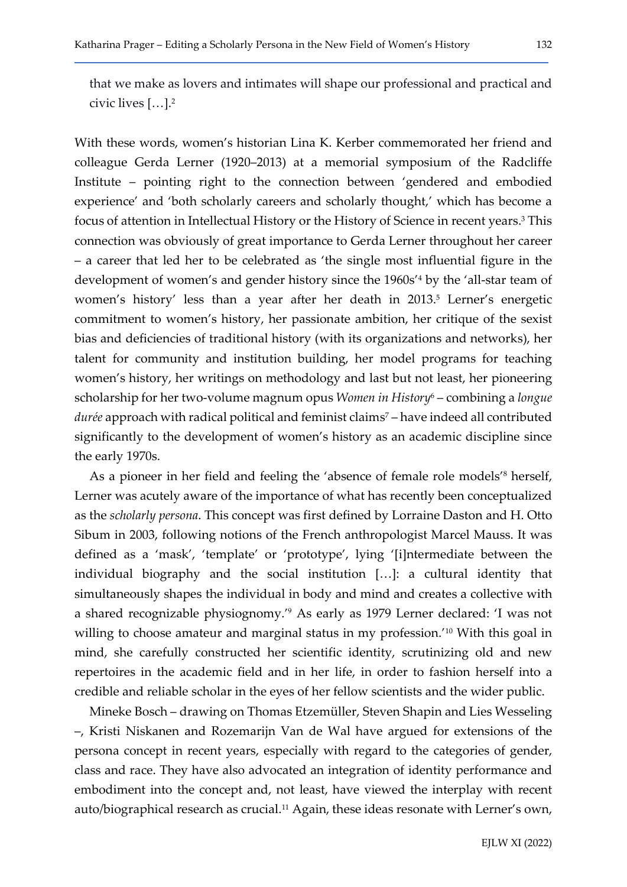that we make as lovers and intimates will shape our professional and practical and civic lives […].<sup>2</sup>

With these words, women's historian Lina K. Kerber commemorated her friend and colleague Gerda Lerner (1920–2013) at a memorial symposium of the Radcliffe Institute – pointing right to the connection between 'gendered and embodied experience' and 'both scholarly careers and scholarly thought,' which has become a focus of attention in Intellectual History or the History of Science in recent years.<sup>3</sup> This connection was obviously of great importance to Gerda Lerner throughout her career – a career that led her to be celebrated as 'the single most influential figure in the development of women's and gender history since the 1960s'<sup>4</sup> by the 'all-star team of women's history' less than a year after her death in 2013.<sup>5</sup> Lerner's energetic commitment to women's history, her passionate ambition, her critique of the sexist bias and deficiencies of traditional history (with its organizations and networks), her talent for community and institution building, her model programs for teaching women's history, her writings on methodology and last but not least, her pioneering scholarship for her two-volume magnum opus Women in History<sup>6</sup> – combining a longue durée approach with radical political and feminist claims<sup>7</sup> – have indeed all contributed significantly to the development of women's history as an academic discipline since the early 1970s.

As a pioneer in her field and feeling the 'absence of female role models'<sup>8</sup> herself, Lerner was acutely aware of the importance of what has recently been conceptualized as the scholarly persona. This concept was first defined by Lorraine Daston and H. Otto Sibum in 2003, following notions of the French anthropologist Marcel Mauss. It was defined as a 'mask', 'template' or 'prototype', lying '[i]ntermediate between the individual biography and the social institution […]: a cultural identity that simultaneously shapes the individual in body and mind and creates a collective with a shared recognizable physiognomy.'<sup>9</sup> As early as 1979 Lerner declared: 'I was not willing to choose amateur and marginal status in my profession.<sup>'10</sup> With this goal in mind, she carefully constructed her scientific identity, scrutinizing old and new repertoires in the academic field and in her life, in order to fashion herself into a credible and reliable scholar in the eyes of her fellow scientists and the wider public.

Mineke Bosch – drawing on Thomas Etzemüller, Steven Shapin and Lies Wesseling –, Kristi Niskanen and Rozemarijn Van de Wal have argued for extensions of the persona concept in recent years, especially with regard to the categories of gender, class and race. They have also advocated an integration of identity performance and embodiment into the concept and, not least, have viewed the interplay with recent auto/biographical research as crucial.<sup>11</sup> Again, these ideas resonate with Lerner's own,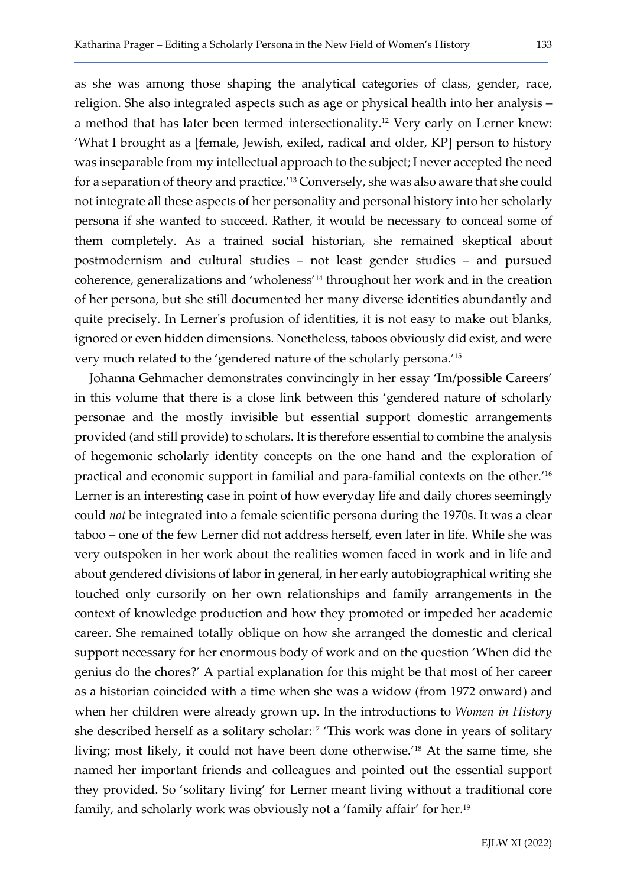as she was among those shaping the analytical categories of class, gender, race, religion. She also integrated aspects such as age or physical health into her analysis – a method that has later been termed intersectionality.12 Very early on Lerner knew: 'What I brought as a [female, Jewish, exiled, radical and older, KP] person to history was inseparable from my intellectual approach to the subject; I never accepted the need for a separation of theory and practice.' <sup>13</sup> Conversely, she was also aware that she could not integrate all these aspects of her personality and personal history into her scholarly persona if she wanted to succeed. Rather, it would be necessary to conceal some of them completely. As a trained social historian, she remained skeptical about postmodernism and cultural studies – not least gender studies – and pursued coherence, generalizations and 'wholeness' <sup>14</sup> throughout her work and in the creation of her persona, but she still documented her many diverse identities abundantly and quite precisely. In Lerner's profusion of identities, it is not easy to make out blanks, ignored or even hidden dimensions. Nonetheless, taboos obviously did exist, and were very much related to the 'gendered nature of the scholarly persona.' 15

Johanna Gehmacher demonstrates convincingly in her essay 'Im/possible Careers' in this volume that there is a close link between this 'gendered nature of scholarly personae and the mostly invisible but essential support domestic arrangements provided (and still provide) to scholars. It is therefore essential to combine the analysis of hegemonic scholarly identity concepts on the one hand and the exploration of practical and economic support in familial and para-familial contexts on the other.' 16 Lerner is an interesting case in point of how everyday life and daily chores seemingly could not be integrated into a female scientific persona during the 1970s. It was a clear taboo – one of the few Lerner did not address herself, even later in life. While she was very outspoken in her work about the realities women faced in work and in life and about gendered divisions of labor in general, in her early autobiographical writing she touched only cursorily on her own relationships and family arrangements in the context of knowledge production and how they promoted or impeded her academic career. She remained totally oblique on how she arranged the domestic and clerical support necessary for her enormous body of work and on the question 'When did the genius do the chores?' A partial explanation for this might be that most of her career as a historian coincided with a time when she was a widow (from 1972 onward) and when her children were already grown up. In the introductions to *Women in History* she described herself as a solitary scholar:17 'This work was done in years of solitary living; most likely, it could not have been done otherwise.' <sup>18</sup> At the same time, she named her important friends and colleagues and pointed out the essential support they provided. So 'solitary living' for Lerner meant living without a traditional core family, and scholarly work was obviously not a 'family affair' for her.19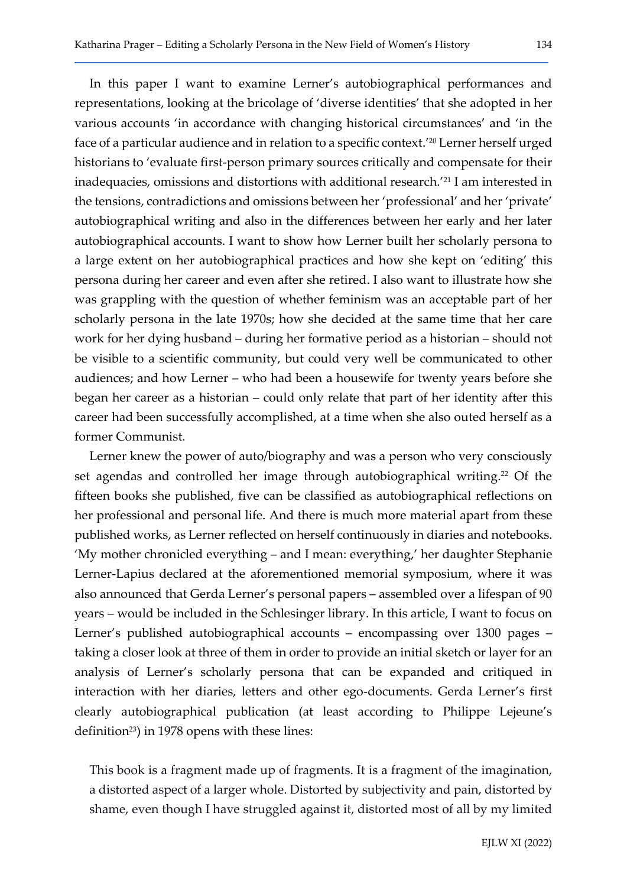In this paper I want to examine Lerner's autobiographical performances and representations, looking at the bricolage of 'diverse identities' that she adopted in her various accounts 'in accordance with changing historical circumstances' and 'in the face of a particular audience and in relation to a specific context.'20 Lerner herself urged historians to 'evaluate first-person primary sources critically and compensate for their inadequacies, omissions and distortions with additional research.'21 I am interested in the tensions, contradictions and omissions between her 'professional' and her 'private' autobiographical writing and also in the differences between her early and her later autobiographical accounts. I want to show how Lerner built her scholarly persona to a large extent on her autobiographical practices and how she kept on 'editing' this persona during her career and even after she retired. I also want to illustrate how she was grappling with the question of whether feminism was an acceptable part of her scholarly persona in the late 1970s; how she decided at the same time that her care work for her dying husband – during her formative period as a historian – should not be visible to a scientific community, but could very well be communicated to other audiences; and how Lerner – who had been a housewife for twenty years before she began her career as a historian – could only relate that part of her identity after this career had been successfully accomplished, at a time when she also outed herself as a former Communist.

Lerner knew the power of auto/biography and was a person who very consciously set agendas and controlled her image through autobiographical writing.<sup>22</sup> Of the fifteen books she published, five can be classified as autobiographical reflections on her professional and personal life. And there is much more material apart from these published works, as Lerner reflected on herself continuously in diaries and notebooks. 'My mother chronicled everything – and I mean: everything,' her daughter Stephanie Lerner-Lapius declared at the aforementioned memorial symposium, where it was also announced that Gerda Lerner's personal papers – assembled over a lifespan of 90 years – would be included in the Schlesinger library. In this article, I want to focus on Lerner's published autobiographical accounts – encompassing over 1300 pages – taking a closer look at three of them in order to provide an initial sketch or layer for an analysis of Lerner's scholarly persona that can be expanded and critiqued in interaction with her diaries, letters and other ego-documents. Gerda Lerner's first clearly autobiographical publication (at least according to Philippe Lejeune's definition<sup>23</sup>) in 1978 opens with these lines:

This book is a fragment made up of fragments. It is a fragment of the imagination, a distorted aspect of a larger whole. Distorted by subjectivity and pain, distorted by shame, even though I have struggled against it, distorted most of all by my limited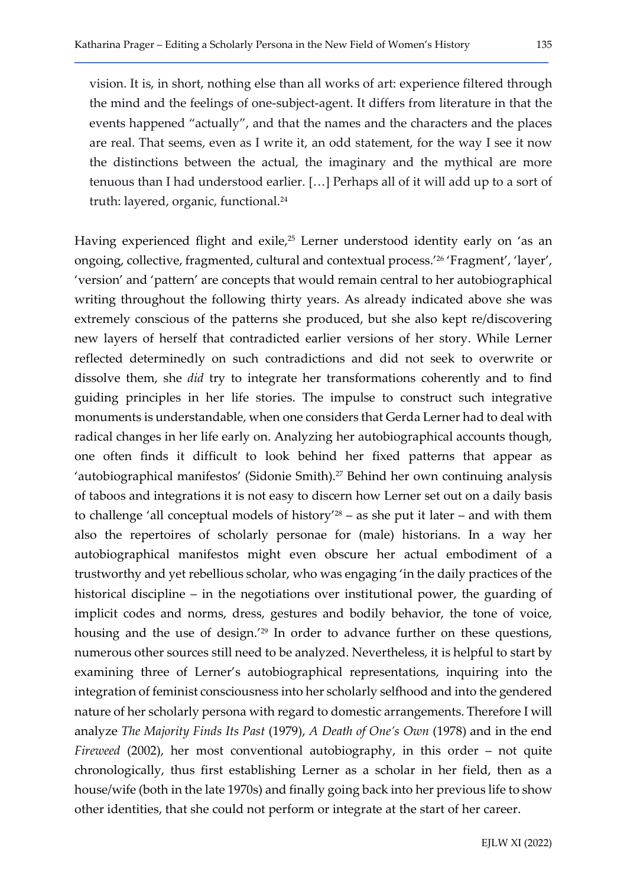vision. It is, in short, nothing else than all works of art: experience filtered through the mind and the feelings of one-subject-agent. It differs from literature in that the events happened "actually", and that the names and the characters and the places are real. That seems, even as I write it, an odd statement, for the way I see it now the distinctions between the actual, the imaginary and the mythical are more tenuous than I had understood earlier. […] Perhaps all of it will add up to a sort of truth: layered, organic, functional.<sup>24</sup>

Having experienced flight and exile,<sup>25</sup> Lerner understood identity early on 'as an ongoing, collective, fragmented, cultural and contextual process.'26 'Fragment', 'layer', 'version' and 'pattern' are concepts that would remain central to her autobiographical writing throughout the following thirty years. As already indicated above she was extremely conscious of the patterns she produced, but she also kept re/discovering new layers of herself that contradicted earlier versions of her story. While Lerner reflected determinedly on such contradictions and did not seek to overwrite or dissolve them, she did try to integrate her transformations coherently and to find guiding principles in her life stories. The impulse to construct such integrative monuments is understandable, when one considers that Gerda Lerner had to deal with radical changes in her life early on. Analyzing her autobiographical accounts though, one often finds it difficult to look behind her fixed patterns that appear as 'autobiographical manifestos' (Sidonie Smith).27 Behind her own continuing analysis of taboos and integrations it is not easy to discern how Lerner set out on a daily basis to challenge 'all conceptual models of history'<sup>28</sup> – as she put it later – and with them also the repertoires of scholarly personae for (male) historians. In a way her autobiographical manifestos might even obscure her actual embodiment of a trustworthy and yet rebellious scholar, who was engaging 'in the daily practices of the historical discipline – in the negotiations over institutional power, the guarding of implicit codes and norms, dress, gestures and bodily behavior, the tone of voice, housing and the use of design.'29 In order to advance further on these questions, numerous other sources still need to be analyzed. Nevertheless, it is helpful to start by examining three of Lerner's autobiographical representations, inquiring into the integration of feminist consciousness into her scholarly selfhood and into the gendered nature of her scholarly persona with regard to domestic arrangements. Therefore I will analyze The Majority Finds Its Past (1979), A Death of One's Own (1978) and in the end Fireweed (2002), her most conventional autobiography, in this order – not quite chronologically, thus first establishing Lerner as a scholar in her field, then as a house/wife (both in the late 1970s) and finally going back into her previous life to show other identities, that she could not perform or integrate at the start of her career.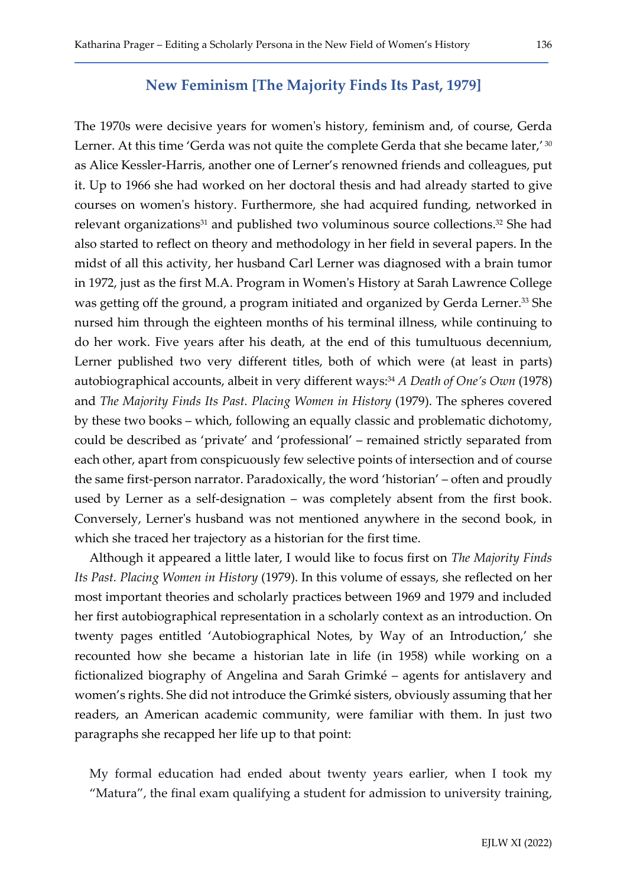### New Feminism [The Majority Finds Its Past, 1979]

The 1970s were decisive years for women's history, feminism and, of course, Gerda Lerner. At this time 'Gerda was not quite the complete Gerda that she became later,' 30 as Alice Kessler-Harris, another one of Lerner's renowned friends and colleagues, put it. Up to 1966 she had worked on her doctoral thesis and had already started to give courses on women's history. Furthermore, she had acquired funding, networked in relevant organizations<sup>31</sup> and published two voluminous source collections.<sup>32</sup> She had also started to reflect on theory and methodology in her field in several papers. In the midst of all this activity, her husband Carl Lerner was diagnosed with a brain tumor in 1972, just as the first M.A. Program in Women's History at Sarah Lawrence College was getting off the ground, a program initiated and organized by Gerda Lerner.<sup>33</sup> She nursed him through the eighteen months of his terminal illness, while continuing to do her work. Five years after his death, at the end of this tumultuous decennium, Lerner published two very different titles, both of which were (at least in parts) autobiographical accounts, albeit in very different ways:<sup>34</sup> A Death of One's Own (1978) and The Majority Finds Its Past. Placing Women in History (1979). The spheres covered by these two books – which, following an equally classic and problematic dichotomy, could be described as 'private' and 'professional' – remained strictly separated from each other, apart from conspicuously few selective points of intersection and of course the same first-person narrator. Paradoxically, the word 'historian' – often and proudly used by Lerner as a self-designation – was completely absent from the first book. Conversely, Lerner's husband was not mentioned anywhere in the second book, in which she traced her trajectory as a historian for the first time.

Although it appeared a little later, I would like to focus first on The Majority Finds Its Past. Placing Women in History (1979). In this volume of essays, she reflected on her most important theories and scholarly practices between 1969 and 1979 and included her first autobiographical representation in a scholarly context as an introduction. On twenty pages entitled 'Autobiographical Notes, by Way of an Introduction,' she recounted how she became a historian late in life (in 1958) while working on a fictionalized biography of Angelina and Sarah Grimké – agents for antislavery and women's rights. She did not introduce the Grimké sisters, obviously assuming that her readers, an American academic community, were familiar with them. In just two paragraphs she recapped her life up to that point:

My formal education had ended about twenty years earlier, when I took my "Matura", the final exam qualifying a student for admission to university training,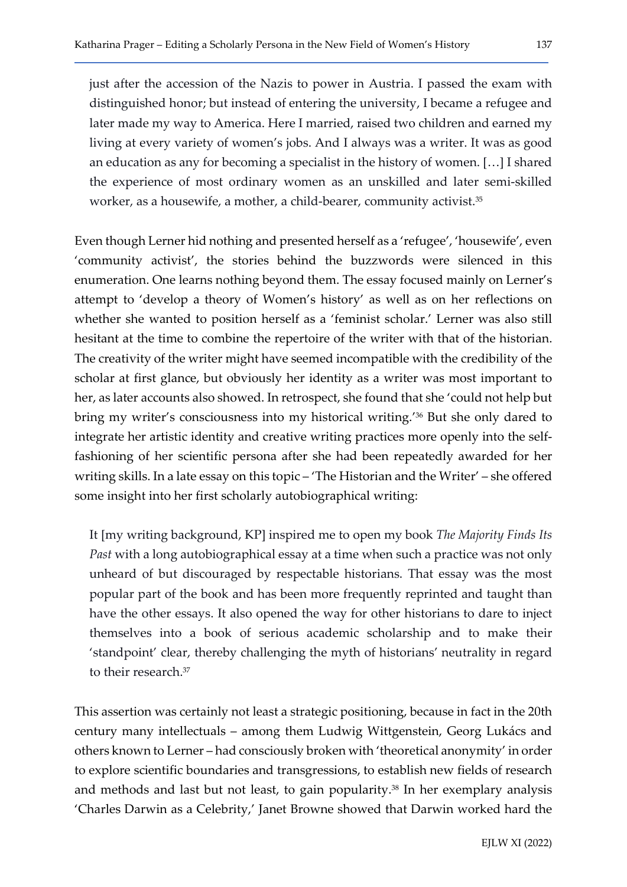just after the accession of the Nazis to power in Austria. I passed the exam with distinguished honor; but instead of entering the university, I became a refugee and later made my way to America. Here I married, raised two children and earned my living at every variety of women's jobs. And I always was a writer. It was as good an education as any for becoming a specialist in the history of women. […] I shared the experience of most ordinary women as an unskilled and later semi-skilled worker, as a housewife, a mother, a child-bearer, community activist.<sup>35</sup>

Even though Lerner hid nothing and presented herself as a 'refugee', 'housewife', even 'community activist', the stories behind the buzzwords were silenced in this enumeration. One learns nothing beyond them. The essay focused mainly on Lerner's attempt to 'develop a theory of Women's history' as well as on her reflections on whether she wanted to position herself as a 'feminist scholar.' Lerner was also still hesitant at the time to combine the repertoire of the writer with that of the historian. The creativity of the writer might have seemed incompatible with the credibility of the scholar at first glance, but obviously her identity as a writer was most important to her, as later accounts also showed. In retrospect, she found that she 'could not help but bring my writer's consciousness into my historical writing.'36 But she only dared to integrate her artistic identity and creative writing practices more openly into the selffashioning of her scientific persona after she had been repeatedly awarded for her writing skills. In a late essay on this topic – 'The Historian and the Writer' – she offered some insight into her first scholarly autobiographical writing:

It [my writing background, KP] inspired me to open my book The Majority Finds Its Past with a long autobiographical essay at a time when such a practice was not only unheard of but discouraged by respectable historians. That essay was the most popular part of the book and has been more frequently reprinted and taught than have the other essays. It also opened the way for other historians to dare to inject themselves into a book of serious academic scholarship and to make their 'standpoint' clear, thereby challenging the myth of historians' neutrality in regard to their research.<sup>37</sup>

This assertion was certainly not least a strategic positioning, because in fact in the 20th century many intellectuals – among them Ludwig Wittgenstein, Georg Lukács and others known to Lerner – had consciously broken with 'theoretical anonymity' in order to explore scientific boundaries and transgressions, to establish new fields of research and methods and last but not least, to gain popularity.<sup>38</sup> In her exemplary analysis 'Charles Darwin as a Celebrity,' Janet Browne showed that Darwin worked hard the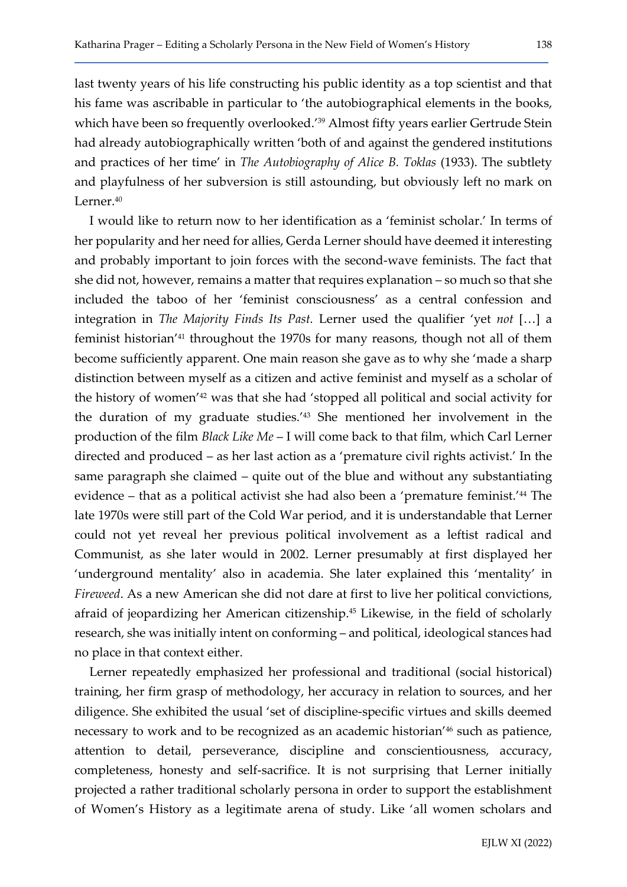last twenty years of his life constructing his public identity as a top scientist and that his fame was ascribable in particular to 'the autobiographical elements in the books, which have been so frequently overlooked.<sup>'39</sup> Almost fifty years earlier Gertrude Stein had already autobiographically written 'both of and against the gendered institutions and practices of her time' in The Autobiography of Alice B. Toklas (1933). The subtlety and playfulness of her subversion is still astounding, but obviously left no mark on Lerner.<sup>40</sup>

I would like to return now to her identification as a 'feminist scholar.' In terms of her popularity and her need for allies, Gerda Lerner should have deemed it interesting and probably important to join forces with the second-wave feminists. The fact that she did not, however, remains a matter that requires explanation – so much so that she included the taboo of her 'feminist consciousness' as a central confession and integration in The Majority Finds Its Past. Lerner used the qualifier 'yet not […] a feminist historian'41 throughout the 1970s for many reasons, though not all of them become sufficiently apparent. One main reason she gave as to why she 'made a sharp distinction between myself as a citizen and active feminist and myself as a scholar of the history of women'42 was that she had 'stopped all political and social activity for the duration of my graduate studies.'43 She mentioned her involvement in the production of the film Black Like Me – I will come back to that film, which Carl Lerner directed and produced – as her last action as a 'premature civil rights activist.' In the same paragraph she claimed – quite out of the blue and without any substantiating evidence – that as a political activist she had also been a 'premature feminist.'<sup>44</sup> The late 1970s were still part of the Cold War period, and it is understandable that Lerner could not yet reveal her previous political involvement as a leftist radical and Communist, as she later would in 2002. Lerner presumably at first displayed her 'underground mentality' also in academia. She later explained this 'mentality' in Fireweed. As a new American she did not dare at first to live her political convictions, afraid of jeopardizing her American citizenship.45 Likewise, in the field of scholarly research, she was initially intent on conforming – and political, ideological stances had no place in that context either.

Lerner repeatedly emphasized her professional and traditional (social historical) training, her firm grasp of methodology, her accuracy in relation to sources, and her diligence. She exhibited the usual 'set of discipline-specific virtues and skills deemed necessary to work and to be recognized as an academic historian'46 such as patience, attention to detail, perseverance, discipline and conscientiousness, accuracy, completeness, honesty and self-sacrifice. It is not surprising that Lerner initially projected a rather traditional scholarly persona in order to support the establishment of Women's History as a legitimate arena of study. Like 'all women scholars and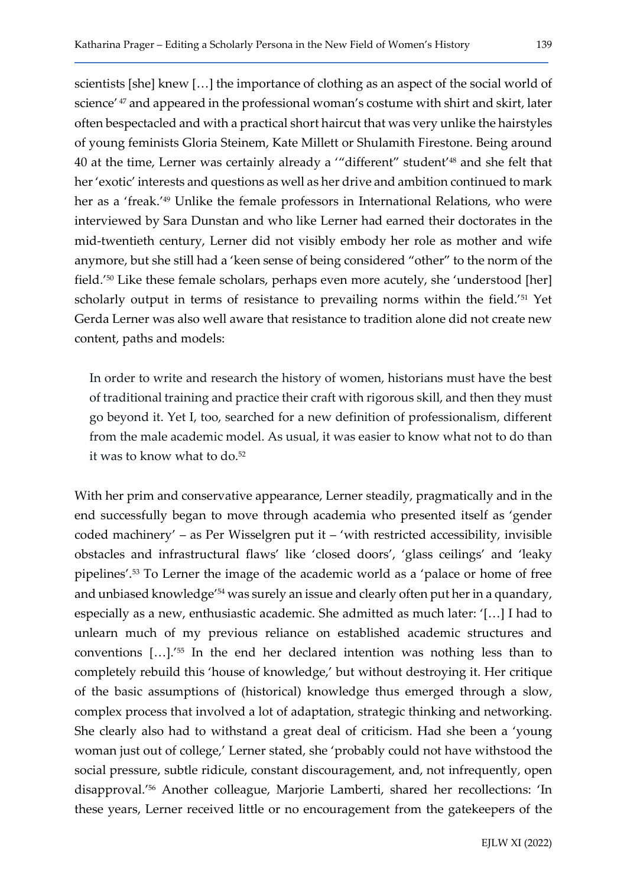scientists [she] knew […] the importance of clothing as an aspect of the social world of science' 47 and appeared in the professional woman's costume with shirt and skirt, later often bespectacled and with a practical short haircut that was very unlike the hairstyles of young feminists Gloria Steinem, Kate Millett or Shulamith Firestone. Being around 40 at the time, Lerner was certainly already a '"different" student'48 and she felt that her 'exotic' interests and questions as well as her drive and ambition continued to mark her as a 'freak.'49 Unlike the female professors in International Relations, who were interviewed by Sara Dunstan and who like Lerner had earned their doctorates in the mid-twentieth century, Lerner did not visibly embody her role as mother and wife anymore, but she still had a 'keen sense of being considered "other" to the norm of the field.'50 Like these female scholars, perhaps even more acutely, she 'understood [her] scholarly output in terms of resistance to prevailing norms within the field.<sup>'51</sup> Yet Gerda Lerner was also well aware that resistance to tradition alone did not create new content, paths and models:

In order to write and research the history of women, historians must have the best of traditional training and practice their craft with rigorous skill, and then they must go beyond it. Yet I, too, searched for a new definition of professionalism, different from the male academic model. As usual, it was easier to know what not to do than it was to know what to do.<sup>52</sup>

With her prim and conservative appearance, Lerner steadily, pragmatically and in the end successfully began to move through academia who presented itself as 'gender coded machinery' – as Per Wisselgren put it – 'with restricted accessibility, invisible obstacles and infrastructural flaws' like 'closed doors', 'glass ceilings' and 'leaky pipelines'.53 To Lerner the image of the academic world as a 'palace or home of free and unbiased knowledge'54 was surely an issue and clearly often put her in a quandary, especially as a new, enthusiastic academic. She admitted as much later: '[…] I had to unlearn much of my previous reliance on established academic structures and conventions […].'55 In the end her declared intention was nothing less than to completely rebuild this 'house of knowledge,' but without destroying it. Her critique of the basic assumptions of (historical) knowledge thus emerged through a slow, complex process that involved a lot of adaptation, strategic thinking and networking. She clearly also had to withstand a great deal of criticism. Had she been a 'young woman just out of college,' Lerner stated, she 'probably could not have withstood the social pressure, subtle ridicule, constant discouragement, and, not infrequently, open disapproval.'56 Another colleague, Marjorie Lamberti, shared her recollections: 'In these years, Lerner received little or no encouragement from the gatekeepers of the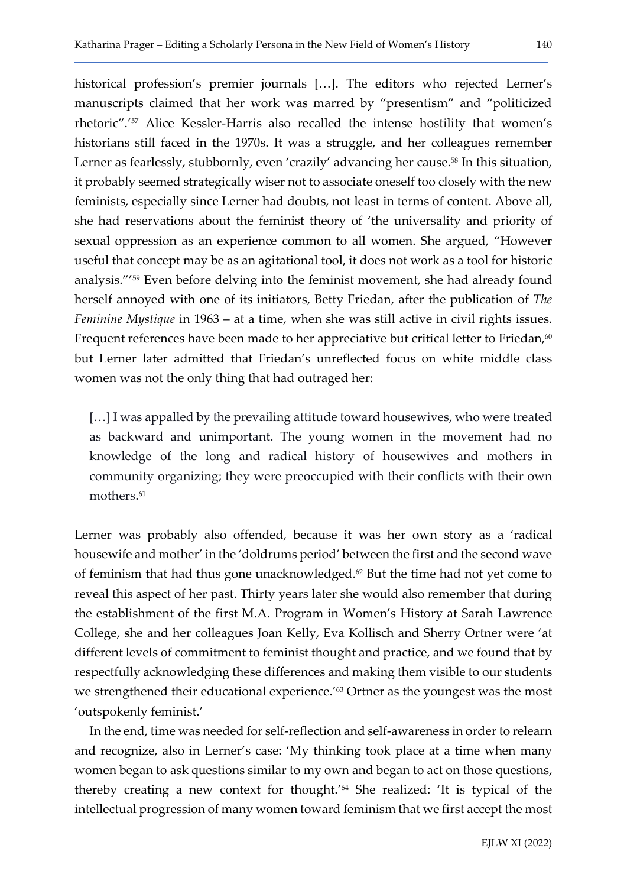historical profession's premier journals [...]. The editors who rejected Lerner's manuscripts claimed that her work was marred by "presentism" and "politicized rhetoric".'57 Alice Kessler-Harris also recalled the intense hostility that women's historians still faced in the 1970s. It was a struggle, and her colleagues remember Lerner as fearlessly, stubbornly, even 'crazily' advancing her cause.<sup>58</sup> In this situation, it probably seemed strategically wiser not to associate oneself too closely with the new feminists, especially since Lerner had doubts, not least in terms of content. Above all, she had reservations about the feminist theory of 'the universality and priority of sexual oppression as an experience common to all women. She argued, "However useful that concept may be as an agitational tool, it does not work as a tool for historic analysis."'59 Even before delving into the feminist movement, she had already found herself annoyed with one of its initiators, Betty Friedan, after the publication of The Feminine Mystique in 1963 – at a time, when she was still active in civil rights issues. Frequent references have been made to her appreciative but critical letter to Friedan,<sup>60</sup> but Lerner later admitted that Friedan's unreflected focus on white middle class women was not the only thing that had outraged her:

[...] I was appalled by the prevailing attitude toward housewives, who were treated as backward and unimportant. The young women in the movement had no knowledge of the long and radical history of housewives and mothers in community organizing; they were preoccupied with their conflicts with their own mothers.<sup>61</sup>

Lerner was probably also offended, because it was her own story as a 'radical housewife and mother' in the 'doldrums period' between the first and the second wave of feminism that had thus gone unacknowledged.<sup>62</sup> But the time had not yet come to reveal this aspect of her past. Thirty years later she would also remember that during the establishment of the first M.A. Program in Women's History at Sarah Lawrence College, she and her colleagues Joan Kelly, Eva Kollisch and Sherry Ortner were 'at different levels of commitment to feminist thought and practice, and we found that by respectfully acknowledging these differences and making them visible to our students we strengthened their educational experience.<sup>'63</sup> Ortner as the youngest was the most 'outspokenly feminist.'

In the end, time was needed for self-reflection and self-awareness in order to relearn and recognize, also in Lerner's case: 'My thinking took place at a time when many women began to ask questions similar to my own and began to act on those questions, thereby creating a new context for thought.'64 She realized: 'It is typical of the intellectual progression of many women toward feminism that we first accept the most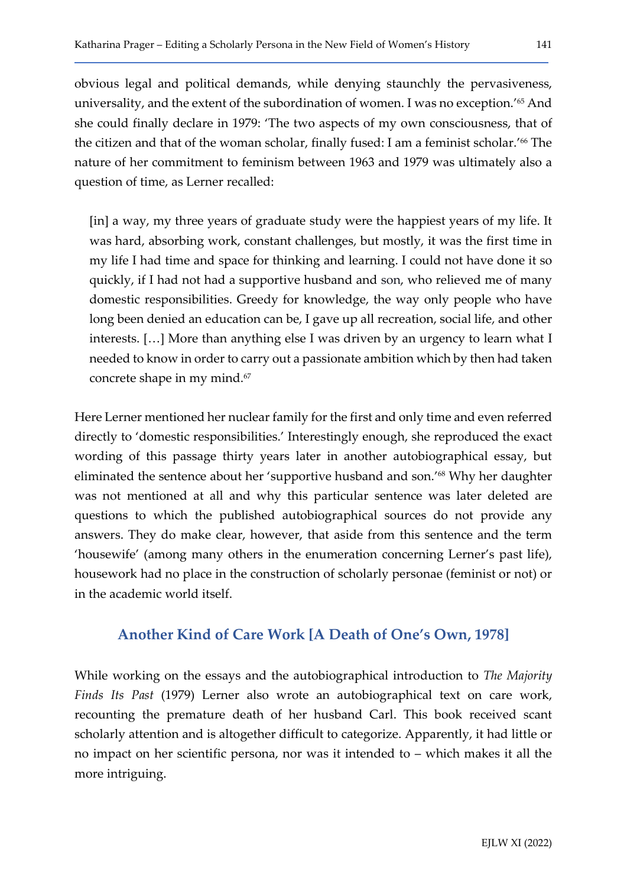obvious legal and political demands, while denying staunchly the pervasiveness, universality, and the extent of the subordination of women. I was no exception.'65 And she could finally declare in 1979: 'The two aspects of my own consciousness, that of the citizen and that of the woman scholar, finally fused: I am a feminist scholar.<sup>166</sup> The nature of her commitment to feminism between 1963 and 1979 was ultimately also a question of time, as Lerner recalled:

[in] a way, my three years of graduate study were the happiest years of my life. It was hard, absorbing work, constant challenges, but mostly, it was the first time in my life I had time and space for thinking and learning. I could not have done it so quickly, if I had not had a supportive husband and son, who relieved me of many domestic responsibilities. Greedy for knowledge, the way only people who have long been denied an education can be, I gave up all recreation, social life, and other interests. […] More than anything else I was driven by an urgency to learn what I needed to know in order to carry out a passionate ambition which by then had taken concrete shape in my mind.<sup>67</sup>

Here Lerner mentioned her nuclear family for the first and only time and even referred directly to 'domestic responsibilities.' Interestingly enough, she reproduced the exact wording of this passage thirty years later in another autobiographical essay, but eliminated the sentence about her 'supportive husband and son.'68 Why her daughter was not mentioned at all and why this particular sentence was later deleted are questions to which the published autobiographical sources do not provide any answers. They do make clear, however, that aside from this sentence and the term 'housewife' (among many others in the enumeration concerning Lerner's past life), housework had no place in the construction of scholarly personae (feminist or not) or in the academic world itself.

### Another Kind of Care Work [A Death of One's Own, 1978]

While working on the essays and the autobiographical introduction to *The Majority* Finds Its Past (1979) Lerner also wrote an autobiographical text on care work, recounting the premature death of her husband Carl. This book received scant scholarly attention and is altogether difficult to categorize. Apparently, it had little or no impact on her scientific persona, nor was it intended to – which makes it all the more intriguing.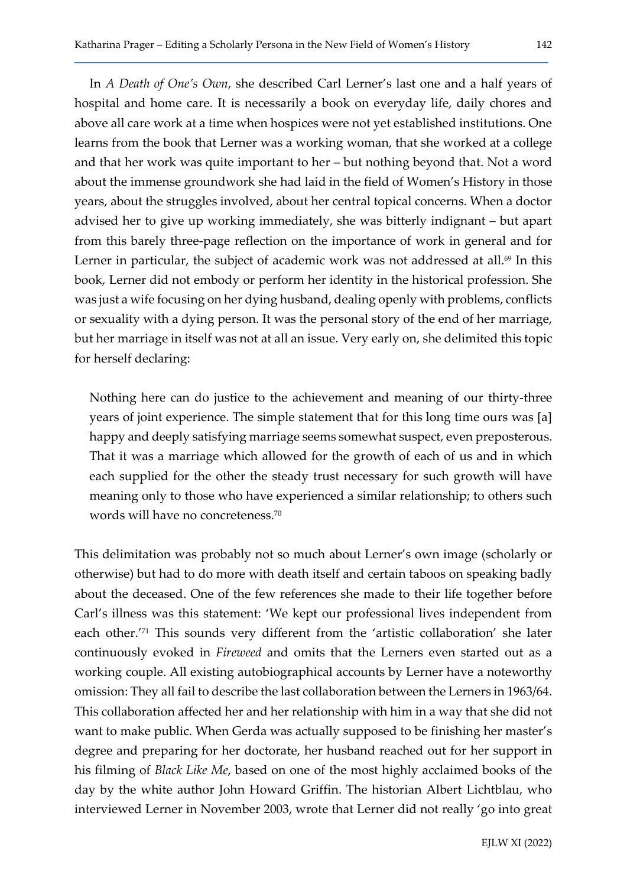In A Death of One's Own, she described Carl Lerner's last one and a half years of hospital and home care. It is necessarily a book on everyday life, daily chores and above all care work at a time when hospices were not yet established institutions. One learns from the book that Lerner was a working woman, that she worked at a college and that her work was quite important to her – but nothing beyond that. Not a word about the immense groundwork she had laid in the field of Women's History in those years, about the struggles involved, about her central topical concerns. When a doctor advised her to give up working immediately, she was bitterly indignant – but apart from this barely three-page reflection on the importance of work in general and for Lerner in particular, the subject of academic work was not addressed at all. $69$  In this book, Lerner did not embody or perform her identity in the historical profession. She was just a wife focusing on her dying husband, dealing openly with problems, conflicts or sexuality with a dying person. It was the personal story of the end of her marriage, but her marriage in itself was not at all an issue. Very early on, she delimited this topic for herself declaring:

Nothing here can do justice to the achievement and meaning of our thirty-three years of joint experience. The simple statement that for this long time ours was [a] happy and deeply satisfying marriage seems somewhat suspect, even preposterous. That it was a marriage which allowed for the growth of each of us and in which each supplied for the other the steady trust necessary for such growth will have meaning only to those who have experienced a similar relationship; to others such words will have no concreteness.<sup>70</sup>

This delimitation was probably not so much about Lerner's own image (scholarly or otherwise) but had to do more with death itself and certain taboos on speaking badly about the deceased. One of the few references she made to their life together before Carl's illness was this statement: 'We kept our professional lives independent from each other.'71 This sounds very different from the 'artistic collaboration' she later continuously evoked in Fireweed and omits that the Lerners even started out as a working couple. All existing autobiographical accounts by Lerner have a noteworthy omission: They all fail to describe the last collaboration between the Lerners in 1963/64. This collaboration affected her and her relationship with him in a way that she did not want to make public. When Gerda was actually supposed to be finishing her master's degree and preparing for her doctorate, her husband reached out for her support in his filming of Black Like Me, based on one of the most highly acclaimed books of the day by the white author John Howard Griffin. The historian Albert Lichtblau, who interviewed Lerner in November 2003, wrote that Lerner did not really 'go into great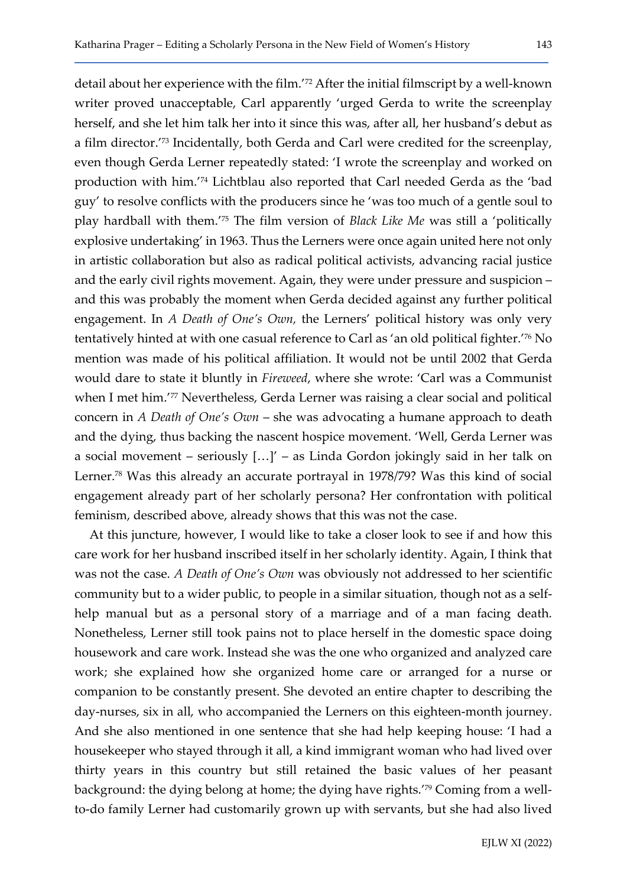detail about her experience with the film.'72 After the initial filmscript by a well-known writer proved unacceptable, Carl apparently 'urged Gerda to write the screenplay herself, and she let him talk her into it since this was, after all, her husband's debut as a film director.'73 Incidentally, both Gerda and Carl were credited for the screenplay, even though Gerda Lerner repeatedly stated: 'I wrote the screenplay and worked on production with him.'74 Lichtblau also reported that Carl needed Gerda as the 'bad guy' to resolve conflicts with the producers since he 'was too much of a gentle soul to play hardball with them.'75 The film version of Black Like Me was still a 'politically explosive undertaking' in 1963. Thus the Lerners were once again united here not only in artistic collaboration but also as radical political activists, advancing racial justice and the early civil rights movement. Again, they were under pressure and suspicion – and this was probably the moment when Gerda decided against any further political engagement. In A Death of One's Own, the Lerners' political history was only very tentatively hinted at with one casual reference to Carl as 'an old political fighter.'76 No mention was made of his political affiliation. It would not be until 2002 that Gerda would dare to state it bluntly in Fireweed, where she wrote: 'Carl was a Communist when I met him.<sup>'77</sup> Nevertheless, Gerda Lerner was raising a clear social and political concern in A Death of One's Own – she was advocating a humane approach to death and the dying, thus backing the nascent hospice movement. 'Well, Gerda Lerner was a social movement – seriously […]' – as Linda Gordon jokingly said in her talk on Lerner.78 Was this already an accurate portrayal in 1978/79? Was this kind of social engagement already part of her scholarly persona? Her confrontation with political feminism, described above, already shows that this was not the case.

At this juncture, however, I would like to take a closer look to see if and how this care work for her husband inscribed itself in her scholarly identity. Again, I think that was not the case. A Death of One's Own was obviously not addressed to her scientific community but to a wider public, to people in a similar situation, though not as a selfhelp manual but as a personal story of a marriage and of a man facing death. Nonetheless, Lerner still took pains not to place herself in the domestic space doing housework and care work. Instead she was the one who organized and analyzed care work; she explained how she organized home care or arranged for a nurse or companion to be constantly present. She devoted an entire chapter to describing the day-nurses, six in all, who accompanied the Lerners on this eighteen-month journey. And she also mentioned in one sentence that she had help keeping house: 'I had a housekeeper who stayed through it all, a kind immigrant woman who had lived over thirty years in this country but still retained the basic values of her peasant background: the dying belong at home; the dying have rights.'79 Coming from a wellto-do family Lerner had customarily grown up with servants, but she had also lived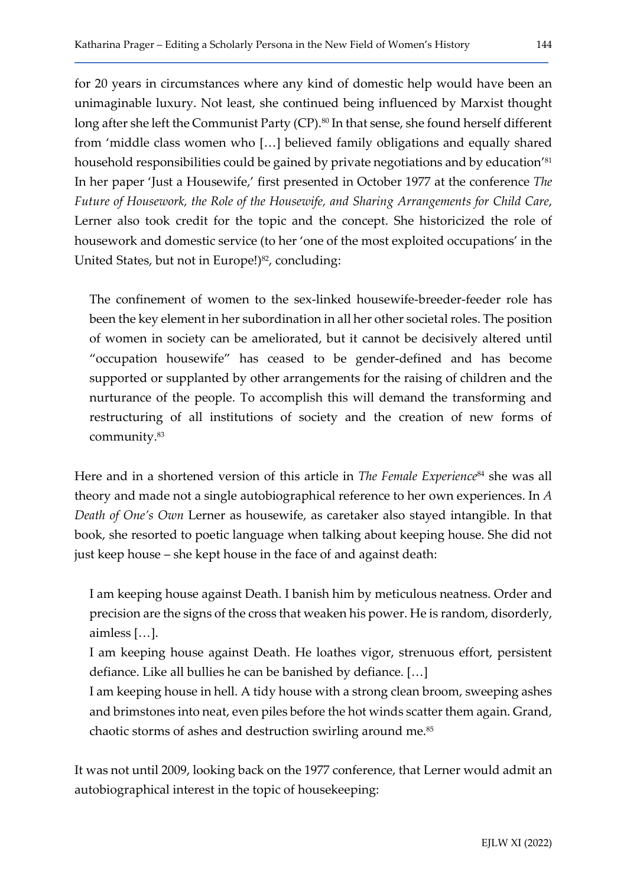for 20 years in circumstances where any kind of domestic help would have been an unimaginable luxury. Not least, she continued being influenced by Marxist thought long after she left the Communist Party (CP).<sup>80</sup> In that sense, she found herself different from 'middle class women who […] believed family obligations and equally shared household responsibilities could be gained by private negotiations and by education'<sup>81</sup> In her paper 'Just a Housewife,' first presented in October 1977 at the conference The Future of Housework, the Role of the Housewife, and Sharing Arrangements for Child Care, Lerner also took credit for the topic and the concept. She historicized the role of housework and domestic service (to her 'one of the most exploited occupations' in the United States, but not in Europe!)<sup>82</sup>, concluding:

The confinement of women to the sex-linked housewife-breeder-feeder role has been the key element in her subordination in all her other societal roles. The position of women in society can be ameliorated, but it cannot be decisively altered until "occupation housewife" has ceased to be gender-defined and has become supported or supplanted by other arrangements for the raising of children and the nurturance of the people. To accomplish this will demand the transforming and restructuring of all institutions of society and the creation of new forms of community.<sup>83</sup>

Here and in a shortened version of this article in The Female Experience<sup>84</sup> she was all theory and made not a single autobiographical reference to her own experiences. In A Death of One's Own Lerner as housewife, as caretaker also stayed intangible. In that book, she resorted to poetic language when talking about keeping house. She did not just keep house – she kept house in the face of and against death:

I am keeping house against Death. I banish him by meticulous neatness. Order and precision are the signs of the cross that weaken his power. He is random, disorderly, aimless […].

I am keeping house against Death. He loathes vigor, strenuous effort, persistent defiance. Like all bullies he can be banished by defiance. […]

I am keeping house in hell. A tidy house with a strong clean broom, sweeping ashes and brimstones into neat, even piles before the hot winds scatter them again. Grand, chaotic storms of ashes and destruction swirling around me.<sup>85</sup>

It was not until 2009, looking back on the 1977 conference, that Lerner would admit an autobiographical interest in the topic of housekeeping: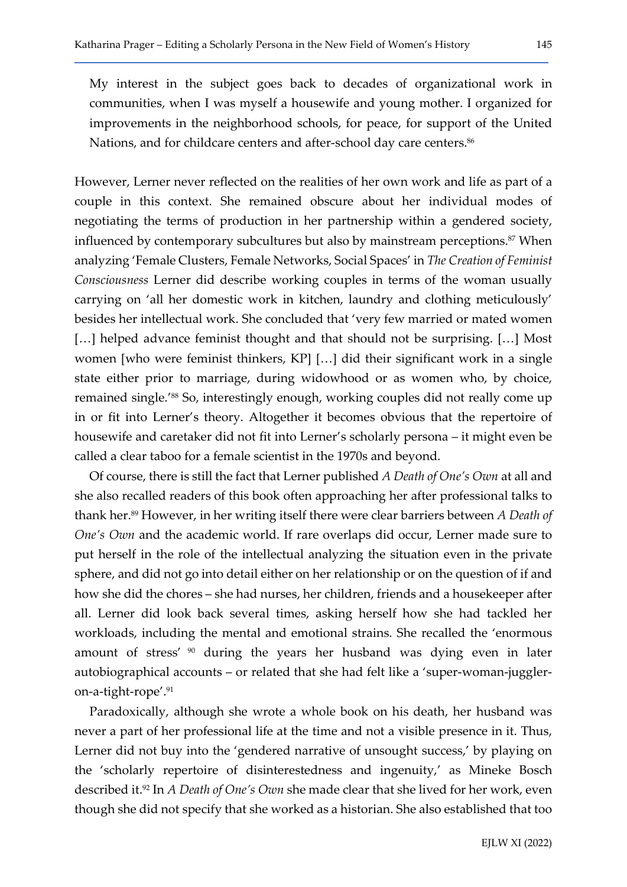My interest in the subject goes back to decades of organizational work in communities, when I was myself a housewife and young mother. I organized for improvements in the neighborhood schools, for peace, for support of the United Nations, and for childcare centers and after-school day care centers.<sup>86</sup>

However, Lerner never reflected on the realities of her own work and life as part of a couple in this context. She remained obscure about her individual modes of negotiating the terms of production in her partnership within a gendered society, influenced by contemporary subcultures but also by mainstream perceptions.<sup>87</sup> When analyzing 'Female Clusters, Female Networks, Social Spaces' in The Creation of Feminist Consciousness Lerner did describe working couples in terms of the woman usually carrying on 'all her domestic work in kitchen, laundry and clothing meticulously' besides her intellectual work. She concluded that 'very few married or mated women [...] helped advance feminist thought and that should not be surprising. [...] Most women [who were feminist thinkers, KP] […] did their significant work in a single state either prior to marriage, during widowhood or as women who, by choice, remained single.'88 So, interestingly enough, working couples did not really come up in or fit into Lerner's theory. Altogether it becomes obvious that the repertoire of housewife and caretaker did not fit into Lerner's scholarly persona – it might even be called a clear taboo for a female scientist in the 1970s and beyond.

Of course, there is still the fact that Lerner published A Death of One's Own at all and she also recalled readers of this book often approaching her after professional talks to thank her.<sup>89</sup> However, in her writing itself there were clear barriers between A Death of One's Own and the academic world. If rare overlaps did occur, Lerner made sure to put herself in the role of the intellectual analyzing the situation even in the private sphere, and did not go into detail either on her relationship or on the question of if and how she did the chores – she had nurses, her children, friends and a housekeeper after all. Lerner did look back several times, asking herself how she had tackled her workloads, including the mental and emotional strains. She recalled the 'enormous amount of stress' <sup>90</sup> during the years her husband was dying even in later autobiographical accounts – or related that she had felt like a 'super-woman-juggleron-a-tight-rope'.<sup>91</sup>

Paradoxically, although she wrote a whole book on his death, her husband was never a part of her professional life at the time and not a visible presence in it. Thus, Lerner did not buy into the 'gendered narrative of unsought success,' by playing on the 'scholarly repertoire of disinterestedness and ingenuity,' as Mineke Bosch described it.<sup>92</sup> In A Death of One's Own she made clear that she lived for her work, even though she did not specify that she worked as a historian. She also established that too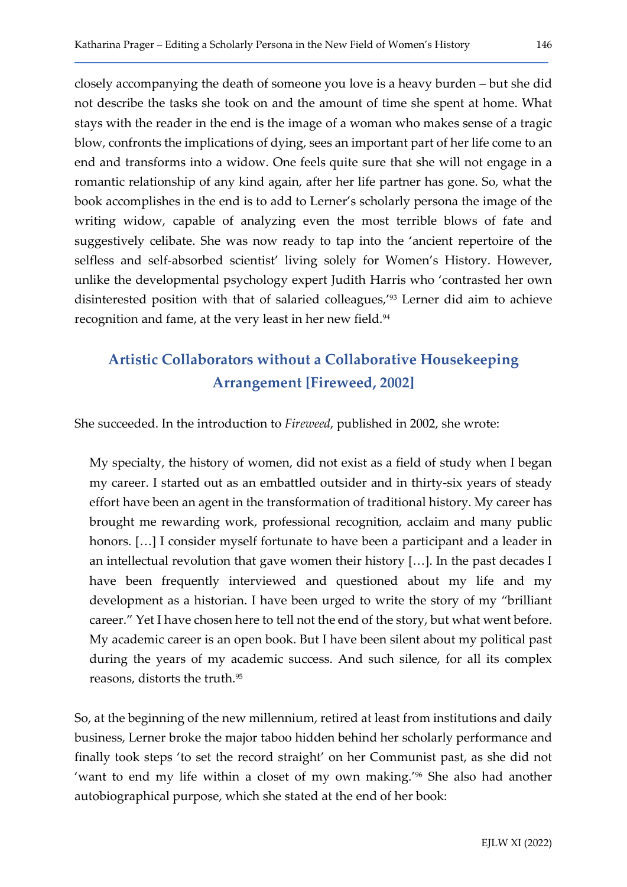closely accompanying the death of someone you love is a heavy burden – but she did not describe the tasks she took on and the amount of time she spent at home. What stays with the reader in the end is the image of a woman who makes sense of a tragic blow, confronts the implications of dying, sees an important part of her life come to an end and transforms into a widow. One feels quite sure that she will not engage in a romantic relationship of any kind again, after her life partner has gone. So, what the book accomplishes in the end is to add to Lerner's scholarly persona the image of the writing widow, capable of analyzing even the most terrible blows of fate and suggestively celibate. She was now ready to tap into the 'ancient repertoire of the selfless and self-absorbed scientist' living solely for Women's History. However, unlike the developmental psychology expert Judith Harris who 'contrasted her own disinterested position with that of salaried colleagues,'93 Lerner did aim to achieve recognition and fame, at the very least in her new field.<sup>94</sup>

# Artistic Collaborators without a Collaborative Housekeeping Arrangement [Fireweed, 2002]

She succeeded. In the introduction to Fireweed, published in 2002, she wrote:

My specialty, the history of women, did not exist as a field of study when I began my career. I started out as an embattled outsider and in thirty-six years of steady effort have been an agent in the transformation of traditional history. My career has brought me rewarding work, professional recognition, acclaim and many public honors. [...] I consider myself fortunate to have been a participant and a leader in an intellectual revolution that gave women their history […]. In the past decades I have been frequently interviewed and questioned about my life and my development as a historian. I have been urged to write the story of my "brilliant career." Yet I have chosen here to tell not the end of the story, but what went before. My academic career is an open book. But I have been silent about my political past during the years of my academic success. And such silence, for all its complex reasons, distorts the truth.<sup>95</sup>

So, at the beginning of the new millennium, retired at least from institutions and daily business, Lerner broke the major taboo hidden behind her scholarly performance and finally took steps 'to set the record straight' on her Communist past, as she did not 'want to end my life within a closet of my own making.'96 She also had another autobiographical purpose, which she stated at the end of her book: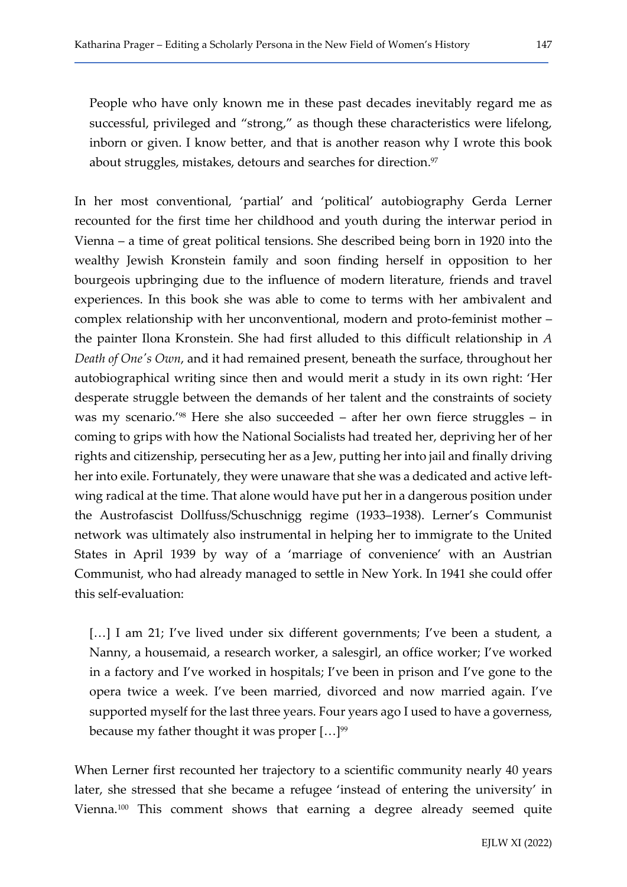In her most conventional, 'partial' and 'political' autobiography Gerda Lerner recounted for the first time her childhood and youth during the interwar period in Vienna – a time of great political tensions. She described being born in 1920 into the wealthy Jewish Kronstein family and soon finding herself in opposition to her bourgeois upbringing due to the influence of modern literature, friends and travel experiences. In this book she was able to come to terms with her ambivalent and complex relationship with her unconventional, modern and proto-feminist mother – the painter Ilona Kronstein. She had first alluded to this difficult relationship in A Death of One's Own, and it had remained present, beneath the surface, throughout her autobiographical writing since then and would merit a study in its own right: 'Her desperate struggle between the demands of her talent and the constraints of society was my scenario.'98 Here she also succeeded – after her own fierce struggles – in coming to grips with how the National Socialists had treated her, depriving her of her rights and citizenship, persecuting her as a Jew, putting her into jail and finally driving her into exile. Fortunately, they were unaware that she was a dedicated and active leftwing radical at the time. That alone would have put her in a dangerous position under the Austrofascist Dollfuss/Schuschnigg regime (1933–1938). Lerner's Communist network was ultimately also instrumental in helping her to immigrate to the United States in April 1939 by way of a 'marriage of convenience' with an Austrian Communist, who had already managed to settle in New York. In 1941 she could offer this self-evaluation:

[...] I am 21; I've lived under six different governments; I've been a student, a Nanny, a housemaid, a research worker, a salesgirl, an office worker; I've worked in a factory and I've worked in hospitals; I've been in prison and I've gone to the opera twice a week. I've been married, divorced and now married again. I've supported myself for the last three years. Four years ago I used to have a governess, because my father thought it was proper  $[...]^{99}$ 

When Lerner first recounted her trajectory to a scientific community nearly 40 years later, she stressed that she became a refugee 'instead of entering the university' in Vienna.100 This comment shows that earning a degree already seemed quite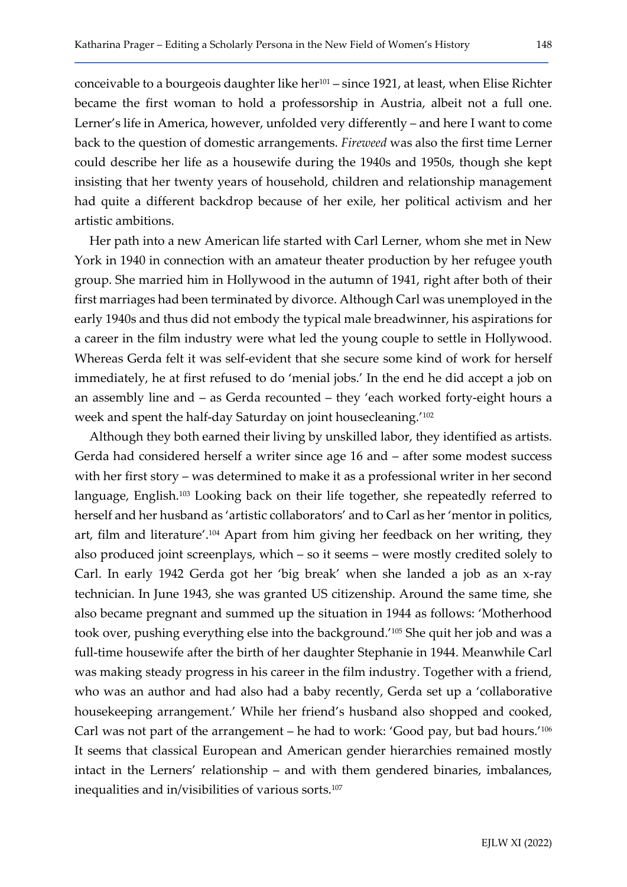conceivable to a bourgeois daughter like her<sup>101</sup> – since 1921, at least, when Elise Richter became the first woman to hold a professorship in Austria, albeit not a full one. Lerner's life in America, however, unfolded very differently – and here I want to come back to the question of domestic arrangements. Fireweed was also the first time Lerner could describe her life as a housewife during the 1940s and 1950s, though she kept insisting that her twenty years of household, children and relationship management had quite a different backdrop because of her exile, her political activism and her artistic ambitions.

Her path into a new American life started with Carl Lerner, whom she met in New York in 1940 in connection with an amateur theater production by her refugee youth group. She married him in Hollywood in the autumn of 1941, right after both of their first marriages had been terminated by divorce. Although Carl was unemployed in the early 1940s and thus did not embody the typical male breadwinner, his aspirations for a career in the film industry were what led the young couple to settle in Hollywood. Whereas Gerda felt it was self-evident that she secure some kind of work for herself immediately, he at first refused to do 'menial jobs.' In the end he did accept a job on an assembly line and – as Gerda recounted – they 'each worked forty-eight hours a week and spent the half-day Saturday on joint housecleaning.'<sup>102</sup>

Although they both earned their living by unskilled labor, they identified as artists. Gerda had considered herself a writer since age 16 and – after some modest success with her first story – was determined to make it as a professional writer in her second language, English.103 Looking back on their life together, she repeatedly referred to herself and her husband as 'artistic collaborators' and to Carl as her 'mentor in politics, art, film and literature'.104 Apart from him giving her feedback on her writing, they also produced joint screenplays, which – so it seems – were mostly credited solely to Carl. In early 1942 Gerda got her 'big break' when she landed a job as an x-ray technician. In June 1943, she was granted US citizenship. Around the same time, she also became pregnant and summed up the situation in 1944 as follows: 'Motherhood took over, pushing everything else into the background.'105 She quit her job and was a full-time housewife after the birth of her daughter Stephanie in 1944. Meanwhile Carl was making steady progress in his career in the film industry. Together with a friend, who was an author and had also had a baby recently, Gerda set up a 'collaborative housekeeping arrangement.' While her friend's husband also shopped and cooked, Carl was not part of the arrangement – he had to work: 'Good pay, but bad hours.'<sup>106</sup> It seems that classical European and American gender hierarchies remained mostly intact in the Lerners' relationship – and with them gendered binaries, imbalances, inequalities and in/visibilities of various sorts.<sup>107</sup>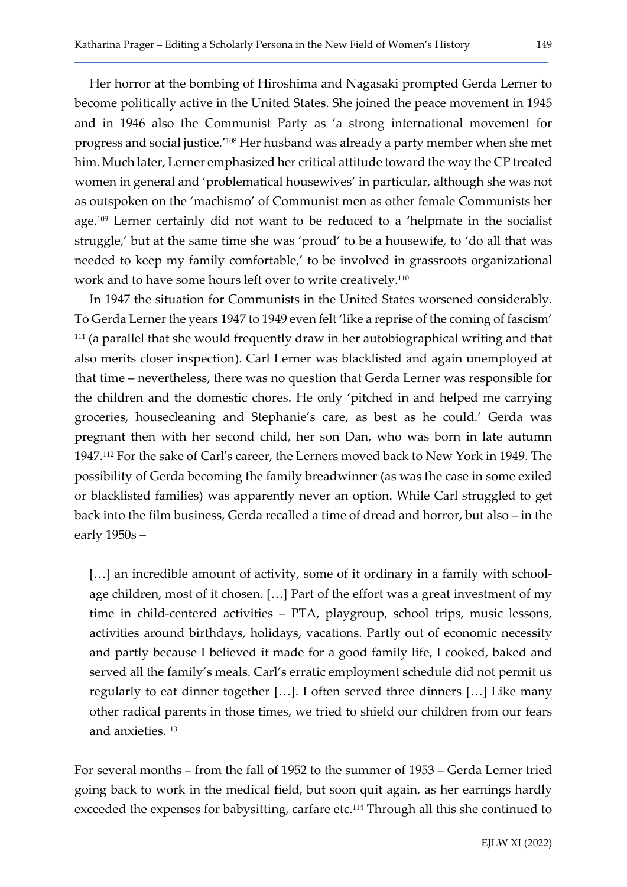Her horror at the bombing of Hiroshima and Nagasaki prompted Gerda Lerner to become politically active in the United States. She joined the peace movement in 1945 and in 1946 also the Communist Party as 'a strong international movement for progress and social justice.'108 Her husband was already a party member when she met him. Much later, Lerner emphasized her critical attitude toward the way the CP treated women in general and 'problematical housewives' in particular, although she was not as outspoken on the 'machismo' of Communist men as other female Communists her age.<sup>109</sup> Lerner certainly did not want to be reduced to a 'helpmate in the socialist struggle,' but at the same time she was 'proud' to be a housewife, to 'do all that was needed to keep my family comfortable,' to be involved in grassroots organizational work and to have some hours left over to write creatively.<sup>110</sup>

In 1947 the situation for Communists in the United States worsened considerably. To Gerda Lerner the years 1947 to 1949 even felt 'like a reprise of the coming of fascism'  $111$  (a parallel that she would frequently draw in her autobiographical writing and that also merits closer inspection). Carl Lerner was blacklisted and again unemployed at that time – nevertheless, there was no question that Gerda Lerner was responsible for the children and the domestic chores. He only 'pitched in and helped me carrying groceries, housecleaning and Stephanie's care, as best as he could.' Gerda was pregnant then with her second child, her son Dan, who was born in late autumn 1947.112 For the sake of Carl's career, the Lerners moved back to New York in 1949. The possibility of Gerda becoming the family breadwinner (as was the case in some exiled or blacklisted families) was apparently never an option. While Carl struggled to get back into the film business, Gerda recalled a time of dread and horror, but also – in the early 1950s –

[...] an incredible amount of activity, some of it ordinary in a family with schoolage children, most of it chosen. […] Part of the effort was a great investment of my time in child-centered activities – PTA, playgroup, school trips, music lessons, activities around birthdays, holidays, vacations. Partly out of economic necessity and partly because I believed it made for a good family life, I cooked, baked and served all the family's meals. Carl's erratic employment schedule did not permit us regularly to eat dinner together […]. I often served three dinners […] Like many other radical parents in those times, we tried to shield our children from our fears and anxieties.<sup>113</sup>

For several months – from the fall of 1952 to the summer of 1953 – Gerda Lerner tried going back to work in the medical field, but soon quit again, as her earnings hardly exceeded the expenses for babysitting, carfare etc.<sup>114</sup> Through all this she continued to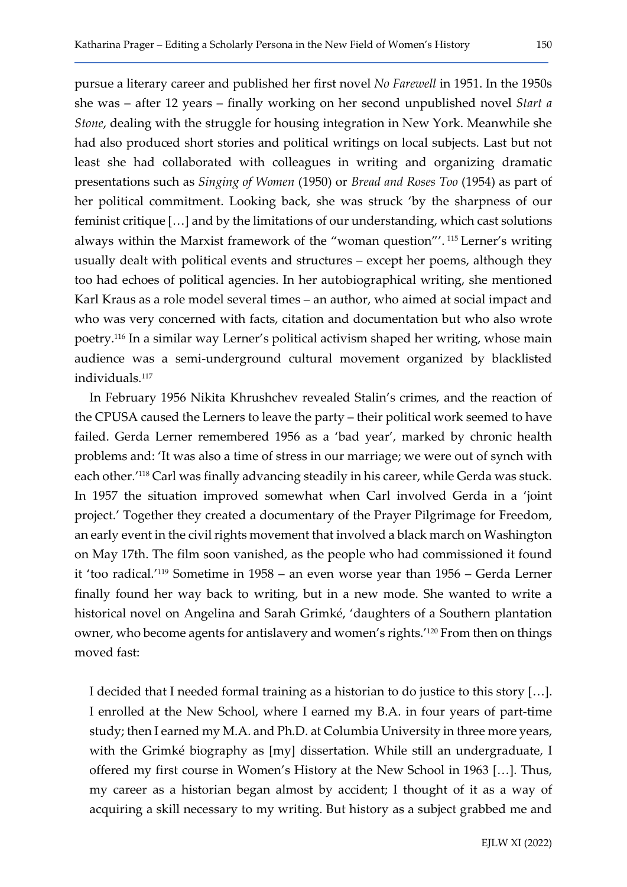pursue a literary career and published her first novel No Farewell in 1951. In the 1950s she was – after 12 years – finally working on her second unpublished novel Start a Stone, dealing with the struggle for housing integration in New York. Meanwhile she had also produced short stories and political writings on local subjects. Last but not least she had collaborated with colleagues in writing and organizing dramatic presentations such as Singing of Women (1950) or Bread and Roses Too (1954) as part of her political commitment. Looking back, she was struck 'by the sharpness of our feminist critique […] and by the limitations of our understanding, which cast solutions always within the Marxist framework of the "woman question"'. 115 Lerner's writing usually dealt with political events and structures – except her poems, although they too had echoes of political agencies. In her autobiographical writing, she mentioned Karl Kraus as a role model several times – an author, who aimed at social impact and who was very concerned with facts, citation and documentation but who also wrote poetry.116 In a similar way Lerner's political activism shaped her writing, whose main audience was a semi-underground cultural movement organized by blacklisted individuals.<sup>117</sup>

In February 1956 Nikita Khrushchev revealed Stalin's crimes, and the reaction of the CPUSA caused the Lerners to leave the party – their political work seemed to have failed. Gerda Lerner remembered 1956 as a 'bad year', marked by chronic health problems and: 'It was also a time of stress in our marriage; we were out of synch with each other.'118 Carl was finally advancing steadily in his career, while Gerda was stuck. In 1957 the situation improved somewhat when Carl involved Gerda in a 'joint project.' Together they created a documentary of the Prayer Pilgrimage for Freedom, an early event in the civil rights movement that involved a black march on Washington on May 17th. The film soon vanished, as the people who had commissioned it found it 'too radical.'119 Sometime in 1958 – an even worse year than 1956 – Gerda Lerner finally found her way back to writing, but in a new mode. She wanted to write a historical novel on Angelina and Sarah Grimké, 'daughters of a Southern plantation owner, who become agents for antislavery and women's rights.'120 From then on things moved fast:

I decided that I needed formal training as a historian to do justice to this story […]. I enrolled at the New School, where I earned my B.A. in four years of part-time study; then I earned my M.A. and Ph.D. at Columbia University in three more years, with the Grimké biography as [my] dissertation. While still an undergraduate, I offered my first course in Women's History at the New School in 1963 […]. Thus, my career as a historian began almost by accident; I thought of it as a way of acquiring a skill necessary to my writing. But history as a subject grabbed me and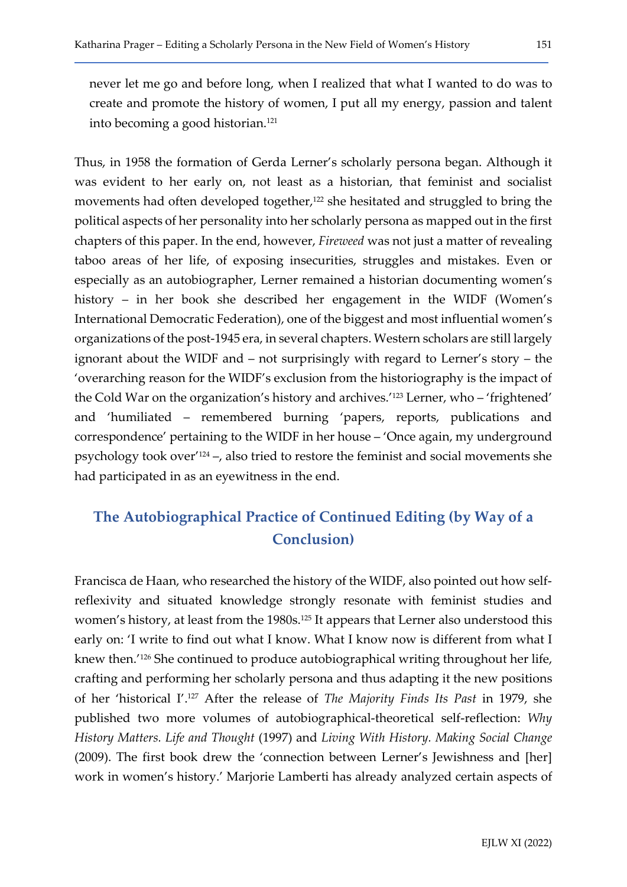never let me go and before long, when I realized that what I wanted to do was to create and promote the history of women, I put all my energy, passion and talent into becoming a good historian.<sup>121</sup>

Thus, in 1958 the formation of Gerda Lerner's scholarly persona began. Although it was evident to her early on, not least as a historian, that feminist and socialist movements had often developed together,<sup>122</sup> she hesitated and struggled to bring the political aspects of her personality into her scholarly persona as mapped out in the first chapters of this paper. In the end, however, Fireweed was not just a matter of revealing taboo areas of her life, of exposing insecurities, struggles and mistakes. Even or especially as an autobiographer, Lerner remained a historian documenting women's history – in her book she described her engagement in the WIDF (Women's International Democratic Federation), one of the biggest and most influential women's organizations of the post-1945 era, in several chapters. Western scholars are still largely ignorant about the WIDF and – not surprisingly with regard to Lerner's story – the 'overarching reason for the WIDF's exclusion from the historiography is the impact of the Cold War on the organization's history and archives.'123 Lerner, who – 'frightened' and 'humiliated – remembered burning 'papers, reports, publications and correspondence' pertaining to the WIDF in her house – 'Once again, my underground psychology took over'124 –, also tried to restore the feminist and social movements she had participated in as an eyewitness in the end.

## The Autobiographical Practice of Continued Editing (by Way of a Conclusion)

Francisca de Haan, who researched the history of the WIDF, also pointed out how selfreflexivity and situated knowledge strongly resonate with feminist studies and women's history, at least from the 1980s.<sup>125</sup> It appears that Lerner also understood this early on: 'I write to find out what I know. What I know now is different from what I knew then.'126 She continued to produce autobiographical writing throughout her life, crafting and performing her scholarly persona and thus adapting it the new positions of her 'historical I'.127 After the release of The Majority Finds Its Past in 1979, she published two more volumes of autobiographical-theoretical self-reflection: Why History Matters. Life and Thought (1997) and Living With History. Making Social Change (2009). The first book drew the 'connection between Lerner's Jewishness and [her] work in women's history.' Marjorie Lamberti has already analyzed certain aspects of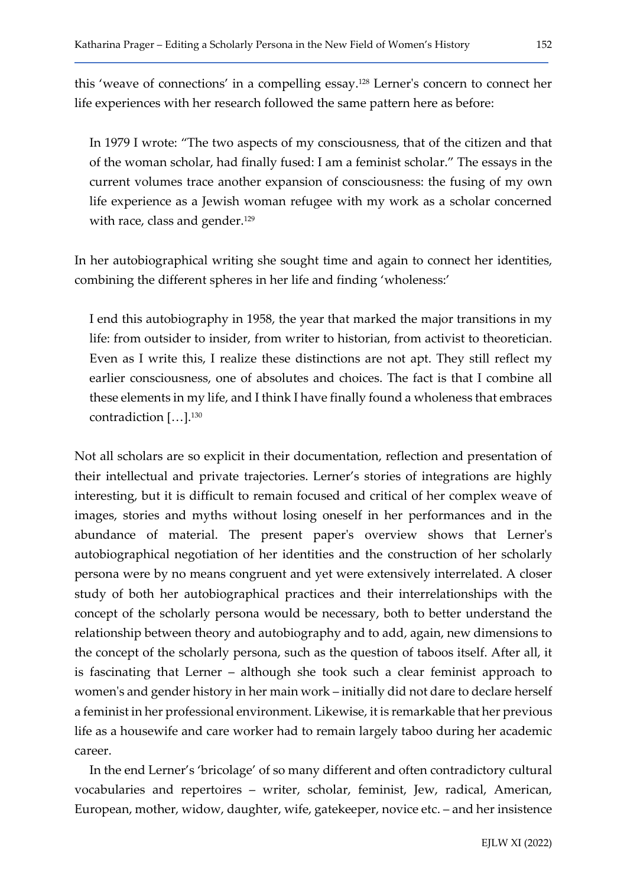this 'weave of connections' in a compelling essay.128 Lerner's concern to connect her life experiences with her research followed the same pattern here as before:

In 1979 I wrote: "The two aspects of my consciousness, that of the citizen and that of the woman scholar, had finally fused: I am a feminist scholar." The essays in the current volumes trace another expansion of consciousness: the fusing of my own life experience as a Jewish woman refugee with my work as a scholar concerned with race, class and gender.<sup>129</sup>

In her autobiographical writing she sought time and again to connect her identities, combining the different spheres in her life and finding 'wholeness:'

I end this autobiography in 1958, the year that marked the major transitions in my life: from outsider to insider, from writer to historian, from activist to theoretician. Even as I write this, I realize these distinctions are not apt. They still reflect my earlier consciousness, one of absolutes and choices. The fact is that I combine all these elements in my life, and I think I have finally found a wholeness that embraces contradiction […].<sup>130</sup>

Not all scholars are so explicit in their documentation, reflection and presentation of their intellectual and private trajectories. Lerner's stories of integrations are highly interesting, but it is difficult to remain focused and critical of her complex weave of images, stories and myths without losing oneself in her performances and in the abundance of material. The present paper's overview shows that Lerner's autobiographical negotiation of her identities and the construction of her scholarly persona were by no means congruent and yet were extensively interrelated. A closer study of both her autobiographical practices and their interrelationships with the concept of the scholarly persona would be necessary, both to better understand the relationship between theory and autobiography and to add, again, new dimensions to the concept of the scholarly persona, such as the question of taboos itself. After all, it is fascinating that Lerner – although she took such a clear feminist approach to women's and gender history in her main work – initially did not dare to declare herself a feminist in her professional environment. Likewise, it is remarkable that her previous life as a housewife and care worker had to remain largely taboo during her academic career.

In the end Lerner's 'bricolage' of so many different and often contradictory cultural vocabularies and repertoires – writer, scholar, feminist, Jew, radical, American, European, mother, widow, daughter, wife, gatekeeper, novice etc. – and her insistence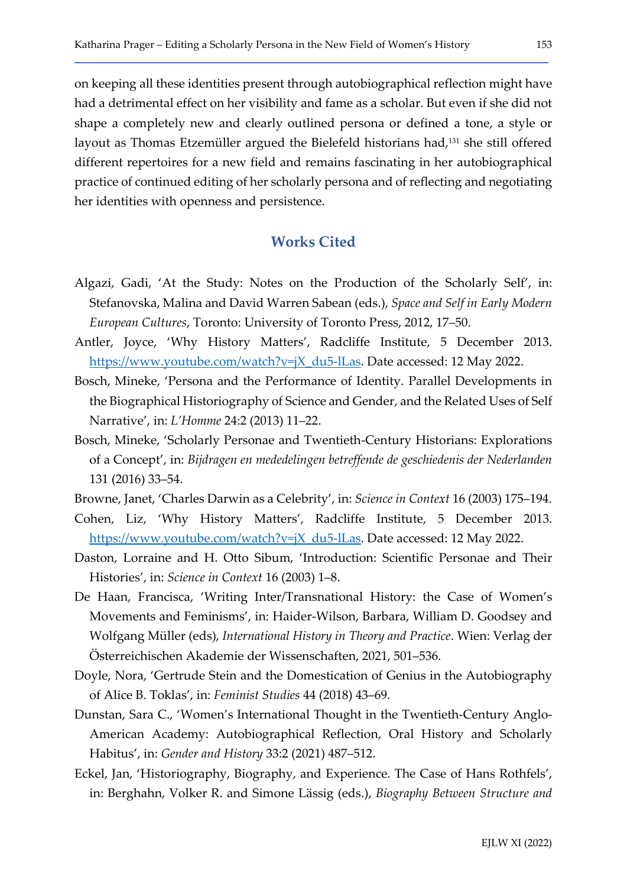on keeping all these identities present through autobiographical reflection might have had a detrimental effect on her visibility and fame as a scholar. But even if she did not shape a completely new and clearly outlined persona or defined a tone, a style or layout as Thomas Etzemüller argued the Bielefeld historians had,<sup>131</sup> she still offered different repertoires for a new field and remains fascinating in her autobiographical practice of continued editing of her scholarly persona and of reflecting and negotiating her identities with openness and persistence.

### Works Cited

- Algazi, Gadi, 'At the Study: Notes on the Production of the Scholarly Self', in: Stefanovska, Malina and David Warren Sabean (eds.), Space and Self in Early Modern European Cultures, Toronto: University of Toronto Press, 2012, 17–50.
- Antler, Joyce, 'Why History Matters', Radcliffe Institute, 5 December 2013. https://www.youtube.com/watch?v=jX\_du5-lLas. Date accessed: 12 May 2022.
- Bosch, Mineke, 'Persona and the Performance of Identity. Parallel Developments in the Biographical Historiography of Science and Gender, and the Related Uses of Self Narrative', in: L'Homme 24:2 (2013) 11–22.
- Bosch, Mineke, 'Scholarly Personae and Twentieth-Century Historians: Explorations of a Concept', in: Bijdragen en mededelingen betreffende de geschiedenis der Nederlanden 131 (2016) 33–54.
- Browne, Janet, 'Charles Darwin as a Celebrity', in: Science in Context 16 (2003) 175–194.
- Cohen, Liz, 'Why History Matters', Radcliffe Institute, 5 December 2013. https://www.youtube.com/watch?v=jX\_du5-lLas. Date accessed: 12 May 2022.
- Daston, Lorraine and H. Otto Sibum, 'Introduction: Scientific Personae and Their Histories', in: Science in Context 16 (2003) 1–8.
- De Haan, Francisca, 'Writing Inter/Transnational History: the Case of Women's Movements and Feminisms', in: Haider-Wilson, Barbara, William D. Goodsey and Wolfgang Müller (eds), International History in Theory and Practice. Wien: Verlag der Österreichischen Akademie der Wissenschaften, 2021, 501–536.
- Doyle, Nora, 'Gertrude Stein and the Domestication of Genius in the Autobiography of Alice B. Toklas', in: Feminist Studies 44 (2018) 43–69.
- Dunstan, Sara C., 'Women's International Thought in the Twentieth-Century Anglo-American Academy: Autobiographical Reflection, Oral History and Scholarly Habitus', in: Gender and History 33:2 (2021) 487–512.
- Eckel, Jan, 'Historiography, Biography, and Experience. The Case of Hans Rothfels', in: Berghahn, Volker R. and Simone Lässig (eds.), Biography Between Structure and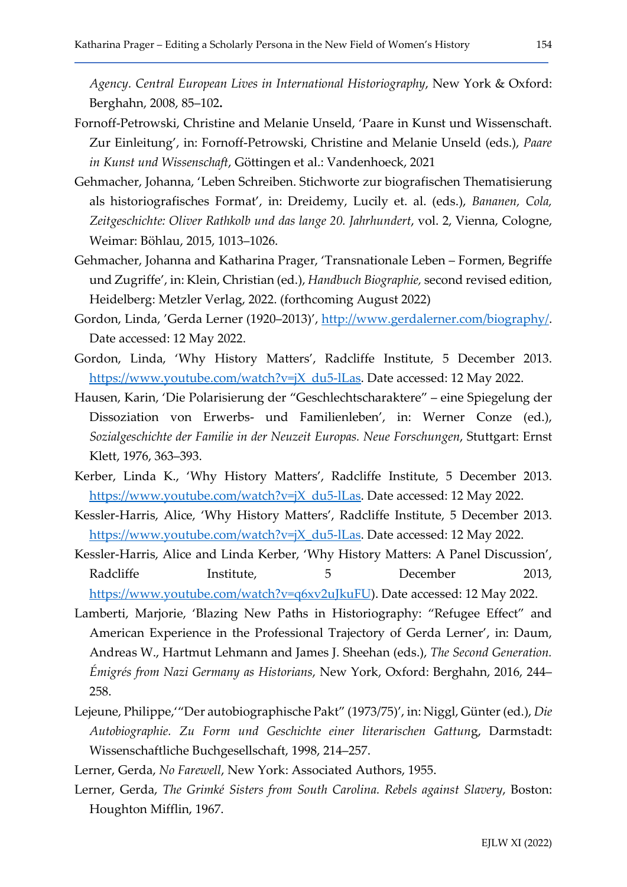Agency. Central European Lives in International Historiography, New York & Oxford: Berghahn, 2008, 85–102.

- Fornoff-Petrowski, Christine and Melanie Unseld, 'Paare in Kunst und Wissenschaft. Zur Einleitung', in: Fornoff-Petrowski, Christine and Melanie Unseld (eds.), Paare in Kunst und Wissenschaft, Göttingen et al.: Vandenhoeck, 2021
- Gehmacher, Johanna, 'Leben Schreiben. Stichworte zur biografischen Thematisierung als historiografisches Format', in: Dreidemy, Lucily et. al. (eds.), Bananen, Cola, Zeitgeschichte: Oliver Rathkolb und das lange 20. Jahrhundert, vol. 2, Vienna, Cologne, Weimar: Böhlau, 2015, 1013–1026.
- Gehmacher, Johanna and Katharina Prager, 'Transnationale Leben Formen, Begriffe und Zugriffe', in: Klein, Christian (ed.), Handbuch Biographie, second revised edition, Heidelberg: Metzler Verlag, 2022. (forthcoming August 2022)
- Gordon, Linda, 'Gerda Lerner (1920–2013)', http://www.gerdalerner.com/biography/. Date accessed: 12 May 2022.
- Gordon, Linda, 'Why History Matters', Radcliffe Institute, 5 December 2013. https://www.youtube.com/watch?v=jX\_du5-lLas. Date accessed: 12 May 2022.
- Hausen, Karin, 'Die Polarisierung der "Geschlechtscharaktere" eine Spiegelung der Dissoziation von Erwerbs- und Familienleben', in: Werner Conze (ed.), Sozialgeschichte der Familie in der Neuzeit Europas. Neue Forschungen, Stuttgart: Ernst Klett, 1976, 363–393.
- Kerber, Linda K., 'Why History Matters', Radcliffe Institute, 5 December 2013. https://www.youtube.com/watch?v=jX\_du5-lLas. Date accessed: 12 May 2022.
- Kessler-Harris, Alice, 'Why History Matters', Radcliffe Institute, 5 December 2013. https://www.youtube.com/watch?v=jX\_du5-lLas. Date accessed: 12 May 2022.
- Kessler-Harris, Alice and Linda Kerber, 'Why History Matters: A Panel Discussion', Radcliffe **Institute,** 5 December 2013, https://www.youtube.com/watch?v=q6xv2uJkuFU). Date accessed: 12 May 2022.
- Lamberti, Marjorie, 'Blazing New Paths in Historiography: "Refugee Effect" and American Experience in the Professional Trajectory of Gerda Lerner', in: Daum, Andreas W., Hartmut Lehmann and James J. Sheehan (eds.), The Second Generation. Émigrés from Nazi Germany as Historians, New York, Oxford: Berghahn, 2016, 244– 258.
- Lejeune, Philippe,'"Der autobiographische Pakt" (1973/75)', in: Niggl, Günter (ed.), Die Autobiographie. Zu Form und Geschichte einer literarischen Gattung, Darmstadt: Wissenschaftliche Buchgesellschaft, 1998, 214–257.

Lerner, Gerda, No Farewell, New York: Associated Authors, 1955.

Lerner, Gerda, The Grimké Sisters from South Carolina. Rebels against Slavery, Boston: Houghton Mifflin, 1967.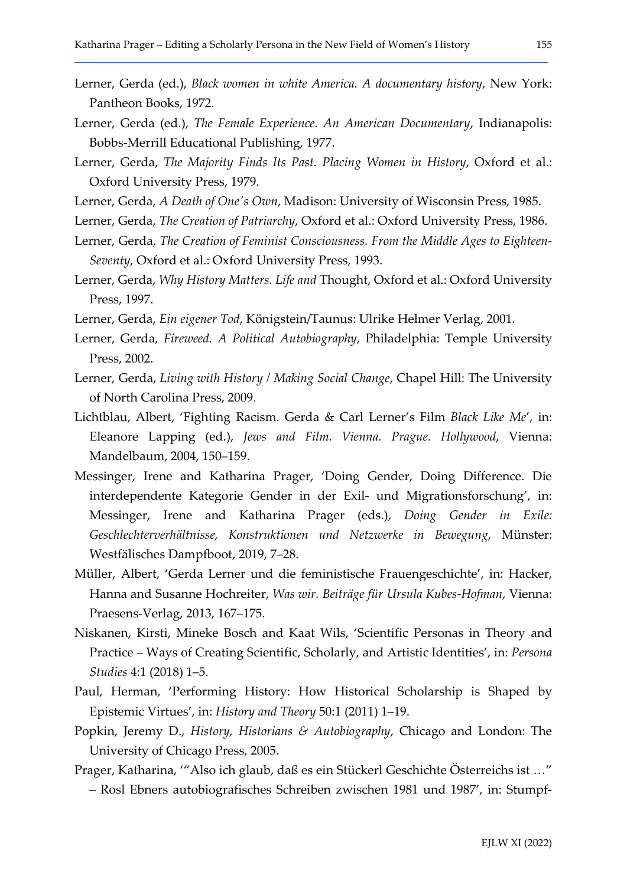- Lerner, Gerda (ed.), Black women in white America. A documentary history, New York: Pantheon Books, 1972.
- Lerner, Gerda (ed.), The Female Experience. An American Documentary, Indianapolis: Bobbs-Merrill Educational Publishing, 1977.
- Lerner, Gerda, The Majority Finds Its Past. Placing Women in History, Oxford et al.: Oxford University Press, 1979.
- Lerner, Gerda, A Death of One's Own, Madison: University of Wisconsin Press, 1985.
- Lerner, Gerda, The Creation of Patriarchy, Oxford et al.: Oxford University Press, 1986.
- Lerner, Gerda, The Creation of Feminist Consciousness. From the Middle Ages to Eighteen-Seventy, Oxford et al.: Oxford University Press, 1993.
- Lerner, Gerda, Why History Matters. Life and Thought, Oxford et al.: Oxford University Press, 1997.
- Lerner, Gerda, Ein eigener Tod, Königstein/Taunus: Ulrike Helmer Verlag, 2001.
- Lerner, Gerda, Fireweed. A Political Autobiography, Philadelphia: Temple University Press, 2002.
- Lerner, Gerda, Living with History / Making Social Change, Chapel Hill: The University of North Carolina Press, 2009.
- Lichtblau, Albert, 'Fighting Racism. Gerda & Carl Lerner's Film Black Like Me', in: Eleanore Lapping (ed.), Jews and Film. Vienna. Prague. Hollywood, Vienna: Mandelbaum, 2004, 150–159.
- Messinger, Irene and Katharina Prager, 'Doing Gender, Doing Difference. Die interdependente Kategorie Gender in der Exil- und Migrationsforschung', in: Messinger, Irene and Katharina Prager (eds.), Doing Gender in Exile: Geschlechterverhältnisse, Konstruktionen und Netzwerke in Bewegung, Münster: Westfälisches Dampfboot, 2019, 7–28.
- Müller, Albert, 'Gerda Lerner und die feministische Frauengeschichte', in: Hacker, Hanna and Susanne Hochreiter, Was wir. Beiträge für Ursula Kubes-Hofman, Vienna: Praesens-Verlag, 2013, 167–175.
- Niskanen, Kirsti, Mineke Bosch and Kaat Wils, 'Scientific Personas in Theory and Practice – Ways of Creating Scientific, Scholarly, and Artistic Identities', in: Persona Studies 4:1 (2018) 1–5.
- Paul, Herman, 'Performing History: How Historical Scholarship is Shaped by Epistemic Virtues', in: History and Theory 50:1 (2011) 1–19.
- Popkin, Jeremy D., History, Historians & Autobiography, Chicago and London: The University of Chicago Press, 2005.
- Prager, Katharina, '"Also ich glaub, daß es ein Stückerl Geschichte Österreichs ist …" – Rosl Ebners autobiografisches Schreiben zwischen 1981 und 1987', in: Stumpf-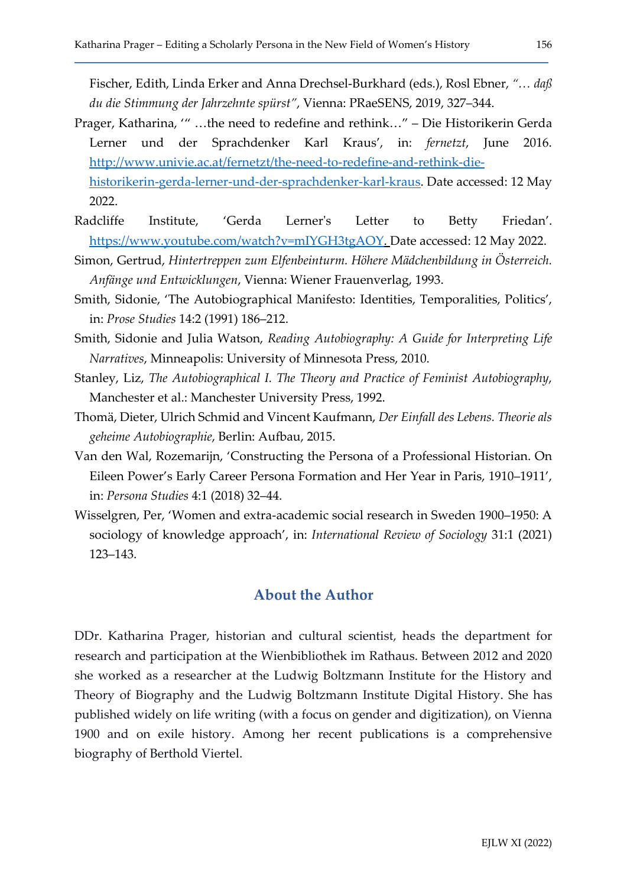Fischer, Edith, Linda Erker and Anna Drechsel-Burkhard (eds.), Rosl Ebner, "… daß du die Stimmung der Jahrzehnte spürst", Vienna: PRaeSENS, 2019, 327–344.

- Prager, Katharina, '" …the need to redefine and rethink…" Die Historikerin Gerda Lerner und der Sprachdenker Karl Kraus', in: fernetzt, June 2016. http://www.univie.ac.at/fernetzt/the-need-to-redefine-and-rethink-diehistorikerin-gerda-lerner-und-der-sprachdenker-karl-kraus. Date accessed: 12 May 2022.
- Radcliffe Institute, 'Gerda Lerner's Letter to Betty Friedan'. https://www.youtube.com/watch?v=mIYGH3tgAOY. Date accessed: 12 May 2022.
- Simon, Gertrud, Hintertreppen zum Elfenbeinturm. Höhere Mädchenbildung in Österreich. Anfänge und Entwicklungen, Vienna: Wiener Frauenverlag, 1993.
- Smith, Sidonie, 'The Autobiographical Manifesto: Identities, Temporalities, Politics', in: Prose Studies 14:2 (1991) 186–212.
- Smith, Sidonie and Julia Watson, Reading Autobiography: A Guide for Interpreting Life Narratives, Minneapolis: University of Minnesota Press, 2010.
- Stanley, Liz, The Autobiographical I. The Theory and Practice of Feminist Autobiography, Manchester et al.: Manchester University Press, 1992.
- Thomä, Dieter, Ulrich Schmid and Vincent Kaufmann, Der Einfall des Lebens. Theorie als geheime Autobiographie, Berlin: Aufbau, 2015.
- Van den Wal, Rozemarijn, 'Constructing the Persona of a Professional Historian. On Eileen Power's Early Career Persona Formation and Her Year in Paris, 1910–1911', in: Persona Studies 4:1 (2018) 32–44.
- Wisselgren, Per, 'Women and extra-academic social research in Sweden 1900–1950: A sociology of knowledge approach', in: International Review of Sociology 31:1 (2021) 123–143.

### About the Author

DDr. Katharina Prager, historian and cultural scientist, heads the department for research and participation at the Wienbibliothek im Rathaus. Between 2012 and 2020 she worked as a researcher at the Ludwig Boltzmann Institute for the History and Theory of Biography and the Ludwig Boltzmann Institute Digital History. She has published widely on life writing (with a focus on gender and digitization), on Vienna 1900 and on exile history. Among her recent publications is a comprehensive biography of Berthold Viertel.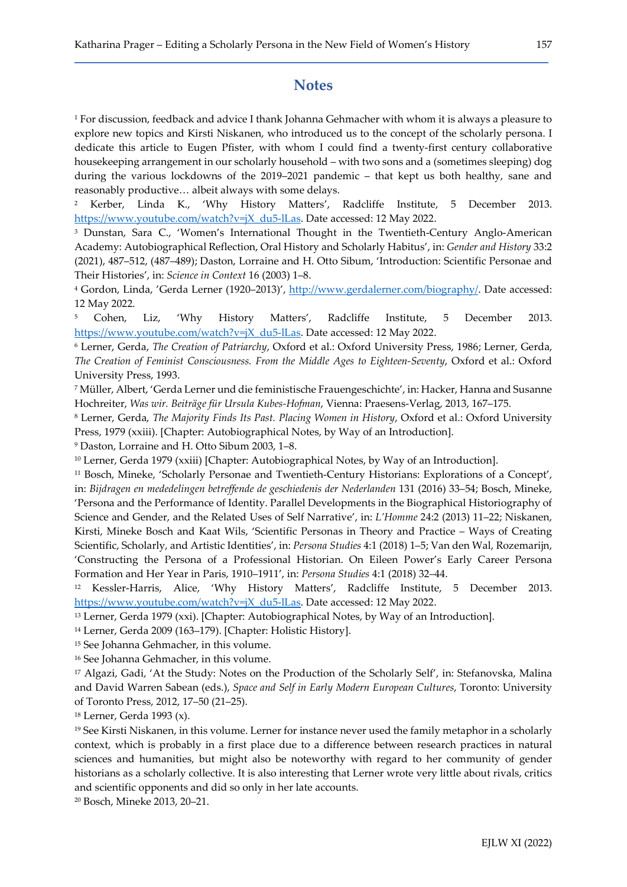### **Notes**

1 For discussion, feedback and advice I thank Johanna Gehmacher with whom it is always a pleasure to explore new topics and Kirsti Niskanen, who introduced us to the concept of the scholarly persona. I dedicate this article to Eugen Pfister, with whom I could find a twenty-first century collaborative housekeeping arrangement in our scholarly household – with two sons and a (sometimes sleeping) dog during the various lockdowns of the 2019–2021 pandemic – that kept us both healthy, sane and reasonably productive… albeit always with some delays.

2 Kerber, Linda K., 'Why History Matters', Radcliffe Institute, 5 December 2013. https://www.youtube.com/watch?v=jX\_du5-lLas. Date accessed: 12 May 2022.

3 Dunstan, Sara C., 'Women's International Thought in the Twentieth-Century Anglo-American Academy: Autobiographical Reflection, Oral History and Scholarly Habitus', in: Gender and History 33:2 (2021), 487–512, (487–489); Daston, Lorraine and H. Otto Sibum, 'Introduction: Scientific Personae and Their Histories', in: Science in Context 16 (2003) 1–8.

<sup>4</sup> Gordon, Linda, 'Gerda Lerner (1920–2013)', <u>http://www.gerdalerner.com/biography/</u>. Date accessed: 12 May 2022.

5 Cohen, Liz, 'Why History Matters', Radcliffe Institute, 5 December 2013. https://www.youtube.com/watch?v=jX\_du5-lLas. Date accessed: 12 May 2022.

6 Lerner, Gerda, The Creation of Patriarchy, Oxford et al.: Oxford University Press, 1986; Lerner, Gerda, The Creation of Feminist Consciousness. From the Middle Ages to Eighteen-Seventy, Oxford et al.: Oxford University Press, 1993.

7 Müller, Albert, 'Gerda Lerner und die feministische Frauengeschichte', in: Hacker, Hanna and Susanne Hochreiter, Was wir. Beiträge für Ursula Kubes-Hofman, Vienna: Praesens-Verlag, 2013, 167–175.

8 Lerner, Gerda, The Majority Finds Its Past. Placing Women in History, Oxford et al.: Oxford University Press, 1979 (xxiii). [Chapter: Autobiographical Notes, by Way of an Introduction].

9 Daston, Lorraine and H. Otto Sibum 2003, 1–8.

<sup>10</sup> Lerner, Gerda 1979 (xxiii) [Chapter: Autobiographical Notes, by Way of an Introduction].

<sup>11</sup> Bosch, Mineke, 'Scholarly Personae and Twentieth-Century Historians: Explorations of a Concept', in: Bijdragen en mededelingen betreffende de geschiedenis der Nederlanden 131 (2016) 33–54; Bosch, Mineke, 'Persona and the Performance of Identity. Parallel Developments in the Biographical Historiography of Science and Gender, and the Related Uses of Self Narrative', in: L'Homme 24:2 (2013) 11–22; Niskanen, Kirsti, Mineke Bosch and Kaat Wils, 'Scientific Personas in Theory and Practice – Ways of Creating Scientific, Scholarly, and Artistic Identities', in: Persona Studies 4:1 (2018) 1–5; Van den Wal, Rozemarijn, 'Constructing the Persona of a Professional Historian. On Eileen Power's Early Career Persona Formation and Her Year in Paris, 1910–1911', in: Persona Studies 4:1 (2018) 32–44.

<sup>12</sup> Kessler-Harris, Alice, 'Why History Matters', Radcliffe Institute, 5 December 2013. https://www.youtube.com/watch?v=jX\_du5-lLas. Date accessed: 12 May 2022.

<sup>13</sup> Lerner, Gerda 1979 (xxi). [Chapter: Autobiographical Notes, by Way of an Introduction].

<sup>14</sup> Lerner, Gerda 2009 (163–179). [Chapter: Holistic History].

<sup>15</sup> See Johanna Gehmacher, in this volume.

<sup>16</sup> See Johanna Gehmacher, in this volume.

<sup>17</sup> Algazi, Gadi, 'At the Study: Notes on the Production of the Scholarly Self', in: Stefanovska, Malina and David Warren Sabean (eds.), Space and Self in Early Modern European Cultures, Toronto: University of Toronto Press, 2012, 17–50 (21–25).

<sup>18</sup> Lerner, Gerda 1993 (x).

<sup>19</sup> See Kirsti Niskanen, in this volume. Lerner for instance never used the family metaphor in a scholarly context, which is probably in a first place due to a difference between research practices in natural sciences and humanities, but might also be noteworthy with regard to her community of gender historians as a scholarly collective. It is also interesting that Lerner wrote very little about rivals, critics and scientific opponents and did so only in her late accounts.

20 Bosch, Mineke 2013, 20–21.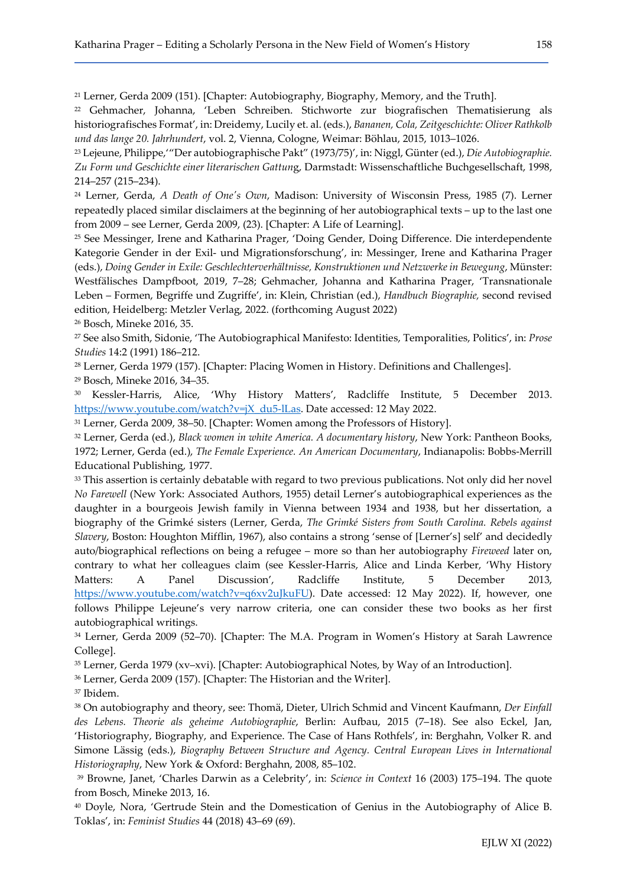<sup>21</sup> Lerner, Gerda 2009 (151). [Chapter: Autobiography, Biography, Memory, and the Truth].

<sup>22</sup> Gehmacher, Johanna, 'Leben Schreiben. Stichworte zur biografischen Thematisierung als historiografisches Format', in: Dreidemy, Lucily et. al. (eds.), Bananen, Cola, Zeitgeschichte: Oliver Rathkolb und das lange 20. Jahrhundert, vol. 2, Vienna, Cologne, Weimar: Böhlau, 2015, 1013–1026.

<sup>23</sup> Lejeune, Philippe,'"Der autobiographische Pakt" (1973/75)', in: Niggl, Günter (ed.), Die Autobiographie. Zu Form und Geschichte einer literarischen Gattung, Darmstadt: Wissenschaftliche Buchgesellschaft, 1998, 214–257 (215–234).

<sup>24</sup> Lerner, Gerda, A Death of One's Own, Madison: University of Wisconsin Press, 1985 (7). Lerner repeatedly placed similar disclaimers at the beginning of her autobiographical texts – up to the last one from 2009 – see Lerner, Gerda 2009, (23). [Chapter: A Life of Learning].

<sup>25</sup> See Messinger, Irene and Katharina Prager, 'Doing Gender, Doing Difference. Die interdependente Kategorie Gender in der Exil- und Migrationsforschung', in: Messinger, Irene and Katharina Prager (eds.), Doing Gender in Exile: Geschlechterverhältnisse, Konstruktionen und Netzwerke in Bewegung, Münster: Westfälisches Dampfboot, 2019, 7–28; Gehmacher, Johanna and Katharina Prager, 'Transnationale Leben – Formen, Begriffe und Zugriffe', in: Klein, Christian (ed.), Handbuch Biographie, second revised edition, Heidelberg: Metzler Verlag, 2022. (forthcoming August 2022)

<sup>26</sup> Bosch, Mineke 2016, 35.

<sup>27</sup> See also Smith, Sidonie, 'The Autobiographical Manifesto: Identities, Temporalities, Politics', in: Prose Studies 14:2 (1991) 186–212.

<sup>28</sup> Lerner, Gerda 1979 (157). [Chapter: Placing Women in History. Definitions and Challenges]. <sup>29</sup> Bosch, Mineke 2016, 34–35.

<sup>30</sup> Kessler-Harris, Alice, 'Why History Matters', Radcliffe Institute, 5 December 2013. https://www.youtube.com/watch?v=jX\_du5-lLas. Date accessed: 12 May 2022.

<sup>31</sup> Lerner, Gerda 2009, 38–50. [Chapter: Women among the Professors of History].

<sup>32</sup> Lerner, Gerda (ed.), Black women in white America. A documentary history, New York: Pantheon Books, 1972; Lerner, Gerda (ed.), The Female Experience. An American Documentary, Indianapolis: Bobbs-Merrill Educational Publishing, 1977.

<sup>33</sup> This assertion is certainly debatable with regard to two previous publications. Not only did her novel No Farewell (New York: Associated Authors, 1955) detail Lerner's autobiographical experiences as the daughter in a bourgeois Jewish family in Vienna between 1934 and 1938, but her dissertation, a biography of the Grimké sisters (Lerner, Gerda, The Grimké Sisters from South Carolina. Rebels against Slavery, Boston: Houghton Mifflin, 1967), also contains a strong 'sense of [Lerner's] self' and decidedly auto/biographical reflections on being a refugee – more so than her autobiography Fireweed later on, contrary to what her colleagues claim (see Kessler-Harris, Alice and Linda Kerber, 'Why History Matters: A Panel Discussion', Radcliffe Institute, 5 December 2013, https://www.youtube.com/watch?v=q6xv2uJkuFU). Date accessed: 12 May 2022). If, however, one follows Philippe Lejeune's very narrow criteria, one can consider these two books as her first autobiographical writings.

<sup>34</sup> Lerner, Gerda 2009 (52–70). [Chapter: The M.A. Program in Women's History at Sarah Lawrence College].

<sup>35</sup> Lerner, Gerda 1979 (xv–xvi). [Chapter: Autobiographical Notes, by Way of an Introduction].

<sup>36</sup> Lerner, Gerda 2009 (157). [Chapter: The Historian and the Writer].

<sup>37</sup> Ibidem.

<sup>38</sup> On autobiography and theory, see: Thomä, Dieter, Ulrich Schmid and Vincent Kaufmann, Der Einfall des Lebens. Theorie als geheime Autobiographie, Berlin: Aufbau, 2015 (7–18). See also Eckel, Jan, 'Historiography, Biography, and Experience. The Case of Hans Rothfels', in: Berghahn, Volker R. and Simone Lässig (eds.), Biography Between Structure and Agency. Central European Lives in International Historiography, New York & Oxford: Berghahn, 2008, 85–102.

<sup>39</sup> Browne, Janet, 'Charles Darwin as a Celebrity', in: Science in Context 16 (2003) 175–194. The quote from Bosch, Mineke 2013, 16.

<sup>40</sup> Doyle, Nora, 'Gertrude Stein and the Domestication of Genius in the Autobiography of Alice B. Toklas', in: Feminist Studies 44 (2018) 43–69 (69).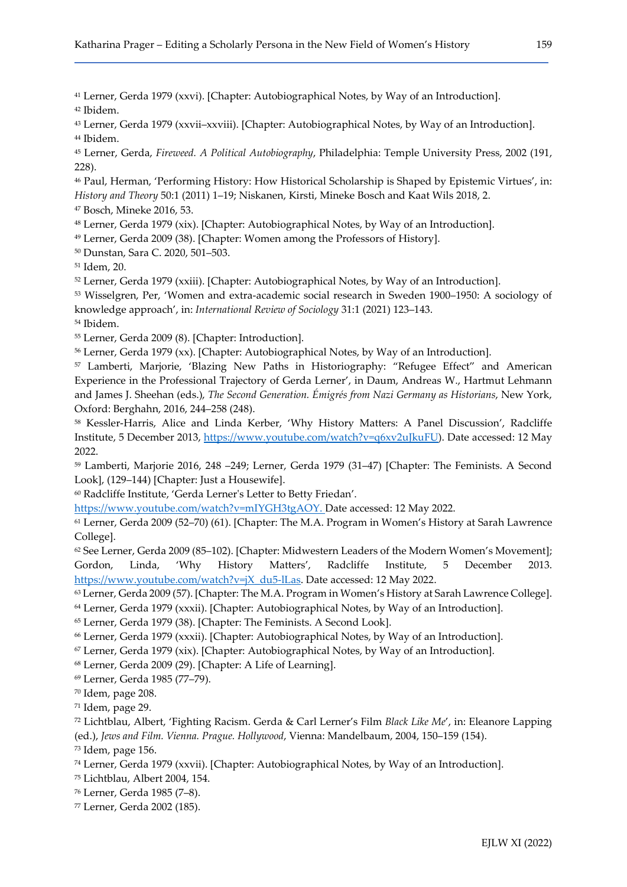Lerner, Gerda 1979 (xxvi). [Chapter: Autobiographical Notes, by Way of an Introduction]. Ibidem.

 Lerner, Gerda 1979 (xxvii–xxviii). [Chapter: Autobiographical Notes, by Way of an Introduction]. Ibidem.

 Lerner, Gerda, Fireweed. A Political Autobiography, Philadelphia: Temple University Press, 2002 (191, 228).

 Paul, Herman, 'Performing History: How Historical Scholarship is Shaped by Epistemic Virtues', in: History and Theory 50:1 (2011) 1–19; Niskanen, Kirsti, Mineke Bosch and Kaat Wils 2018, 2.

Bosch, Mineke 2016, 53.

Lerner, Gerda 1979 (xix). [Chapter: Autobiographical Notes, by Way of an Introduction].

Lerner, Gerda 2009 (38). [Chapter: Women among the Professors of History].

Dunstan, Sara C. 2020, 501–503.

Idem, 20.

Lerner, Gerda 1979 (xxiii). [Chapter: Autobiographical Notes, by Way of an Introduction].

 Wisselgren, Per, 'Women and extra-academic social research in Sweden 1900–1950: A sociology of knowledge approach', in: International Review of Sociology 31:1 (2021) 123–143.

Ibidem.

Lerner, Gerda 2009 (8). [Chapter: Introduction].

<sup>56</sup> Lerner, Gerda 1979 (xx). [Chapter: Autobiographical Notes, by Way of an Introduction].

 Lamberti, Marjorie, 'Blazing New Paths in Historiography: "Refugee Effect" and American Experience in the Professional Trajectory of Gerda Lerner', in Daum, Andreas W., Hartmut Lehmann and James J. Sheehan (eds.), The Second Generation. Émigrés from Nazi Germany as Historians, New York, Oxford: Berghahn, 2016, 244–258 (248).

 Kessler-Harris, Alice and Linda Kerber, 'Why History Matters: A Panel Discussion', Radcliffe Institute, 5 December 2013, https://www.youtube.com/watch?v=q6xv2uJkuFU). Date accessed: 12 May 2022.

 Lamberti, Marjorie 2016, 248 –249; Lerner, Gerda 1979 (31–47) [Chapter: The Feminists. A Second Look], (129–144) [Chapter: Just a Housewife].

Radcliffe Institute, 'Gerda Lerner's Letter to Betty Friedan'.

https://www.youtube.com/watch?v=mIYGH3tgAOY. Date accessed: 12 May 2022.

 Lerner, Gerda 2009 (52–70) (61). [Chapter: The M.A. Program in Women's History at Sarah Lawrence College].

 See Lerner, Gerda 2009 (85–102). [Chapter: Midwestern Leaders of the Modern Women's Movement]; Gordon, Linda, 'Why History Matters', Radcliffe Institute, 5 December 2013. https://www.youtube.com/watch?v=jX\_du5-lLas. Date accessed: 12 May 2022.

Lerner, Gerda 2009 (57). [Chapter: The M.A. Program in Women's History at Sarah Lawrence College].

Lerner, Gerda 1979 (xxxii). [Chapter: Autobiographical Notes, by Way of an Introduction].

Lerner, Gerda 1979 (38). [Chapter: The Feminists. A Second Look].

Lerner, Gerda 1979 (xxxii). [Chapter: Autobiographical Notes, by Way of an Introduction].

Lerner, Gerda 1979 (xix). [Chapter: Autobiographical Notes, by Way of an Introduction].

Lerner, Gerda 2009 (29). [Chapter: A Life of Learning].

Lerner, Gerda 1985 (77–79).

Idem, page 208.

Idem, page 29.

 Lichtblau, Albert, 'Fighting Racism. Gerda & Carl Lerner's Film Black Like Me', in: Eleanore Lapping (ed.), Jews and Film. Vienna. Prague. Hollywood, Vienna: Mandelbaum, 2004, 150–159 (154).

Idem, page 156.

Lerner, Gerda 1979 (xxvii). [Chapter: Autobiographical Notes, by Way of an Introduction].

Lichtblau, Albert 2004, 154.

Lerner, Gerda 1985 (7–8).

Lerner, Gerda 2002 (185).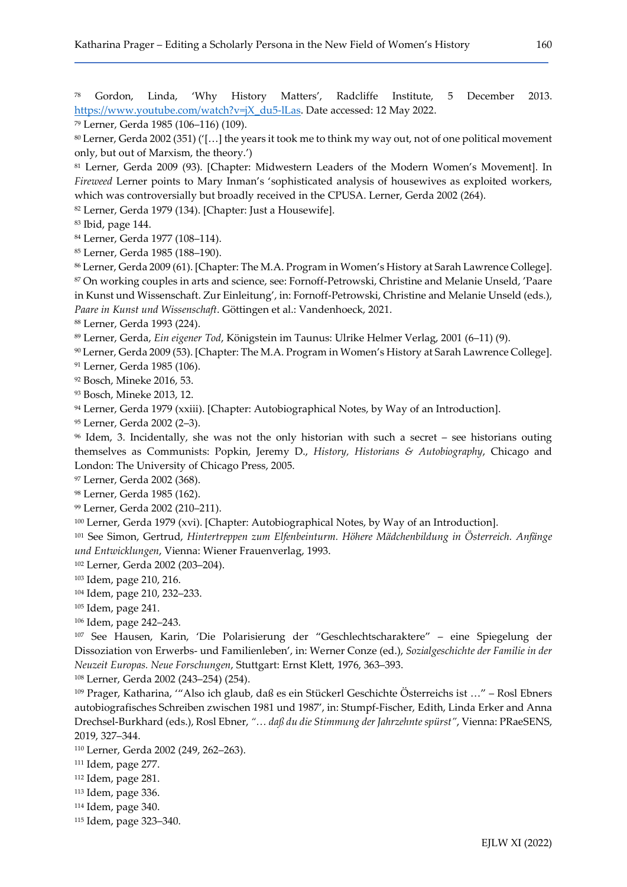Gordon, Linda, 'Why History Matters', Radcliffe Institute, 5 December 2013. https://www.youtube.com/watch?v=jX\_du5-lLas. Date accessed: 12 May 2022.

Lerner, Gerda 1985 (106–116) (109).

 Lerner, Gerda 2002 (351) ('[…] the years it took me to think my way out, not of one political movement only, but out of Marxism, the theory.')

 Lerner, Gerda 2009 (93). [Chapter: Midwestern Leaders of the Modern Women's Movement]. In Fireweed Lerner points to Mary Inman's 'sophisticated analysis of housewives as exploited workers, which was controversially but broadly received in the CPUSA. Lerner, Gerda 2002 (264).

Lerner, Gerda 1979 (134). [Chapter: Just a Housewife].

Ibid, page 144.

Lerner, Gerda 1977 (108–114).

Lerner, Gerda 1985 (188–190).

 Lerner, Gerda 2009 (61). [Chapter: The M.A. Program in Women's History at Sarah Lawrence College]. On working couples in arts and science, see: Fornoff-Petrowski, Christine and Melanie Unseld, 'Paare in Kunst und Wissenschaft. Zur Einleitung', in: Fornoff-Petrowski, Christine and Melanie Unseld (eds.), Paare in Kunst und Wissenschaft. Göttingen et al.: Vandenhoeck, 2021.

Lerner, Gerda 1993 (224).

Lerner, Gerda, Ein eigener Tod, Königstein im Taunus: Ulrike Helmer Verlag, 2001 (6–11) (9).

Lerner, Gerda 2009 (53). [Chapter: The M.A. Program in Women's History at Sarah Lawrence College].

Lerner, Gerda 1985 (106).

Bosch, Mineke 2016, 53.

Bosch, Mineke 2013, 12.

94 Lerner, Gerda 1979 (xxiii). [Chapter: Autobiographical Notes, by Way of an Introduction].

Lerner, Gerda 2002 (2–3).

 Idem, 3. Incidentally, she was not the only historian with such a secret – see historians outing themselves as Communists: Popkin, Jeremy D., History, Historians & Autobiography, Chicago and London: The University of Chicago Press, 2005.

Lerner, Gerda 2002 (368).

Lerner, Gerda 1985 (162).

Lerner, Gerda 2002 (210–211).

Lerner, Gerda 1979 (xvi). [Chapter: Autobiographical Notes, by Way of an Introduction].

 See Simon, Gertrud, Hintertreppen zum Elfenbeinturm. Höhere Mädchenbildung in Österreich. Anfänge und Entwicklungen, Vienna: Wiener Frauenverlag, 1993.

Lerner, Gerda 2002 (203–204).

Idem, page 210, 216.

Idem, page 210, 232–233.

Idem, page 241.

Idem, page 242–243.

 See Hausen, Karin, 'Die Polarisierung der "Geschlechtscharaktere" – eine Spiegelung der Dissoziation von Erwerbs- und Familienleben', in: Werner Conze (ed.), Sozialgeschichte der Familie in der Neuzeit Europas. Neue Forschungen, Stuttgart: Ernst Klett, 1976, 363–393.

Lerner, Gerda 2002 (243–254) (254).

 Prager, Katharina, '"Also ich glaub, daß es ein Stückerl Geschichte Österreichs ist …" – Rosl Ebners autobiografisches Schreiben zwischen 1981 und 1987', in: Stumpf-Fischer, Edith, Linda Erker and Anna Drechsel-Burkhard (eds.), Rosl Ebner, "… daß du die Stimmung der Jahrzehnte spürst", Vienna: PRaeSENS, 2019, 327–344.

Lerner, Gerda 2002 (249, 262–263).

Idem, page 277.

Idem, page 281.

Idem, page 336.

Idem, page 340.

Idem, page 323–340.